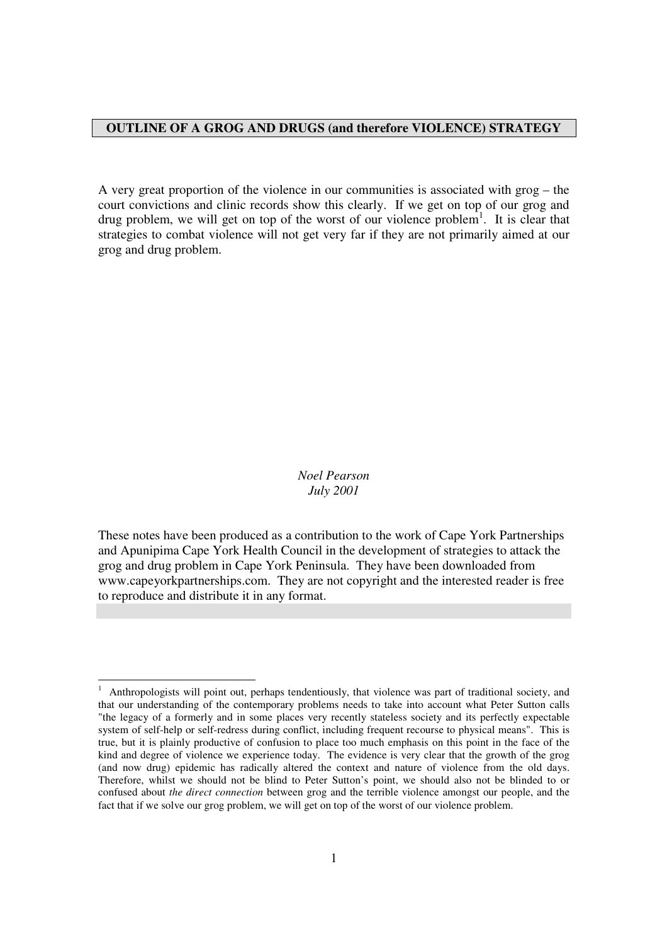# **OUTLINE OF A GROG AND DRUGS (and therefore VIOLENCE) STRATEGY**

A very great proportion of the violence in our communities is associated with grog – the court convictions and clinic records show this clearly. If we get on top of our grog and drug problem, we will get on top of the worst of our violence problem<sup>1</sup>. It is clear that strategies to combat violence will not get very far if they are not primarily aimed at our grog and drug problem.

> *Noel Pearson July 2001*

These notes have been produced as a contribution to the work of Cape York Partnerships and Apunipima Cape York Health Council in the development of strategies to attack the grog and drug problem in Cape York Peninsula. They have been downloaded from www.capeyorkpartnerships.com. They are not copyright and the interested reader is free to reproduce and distribute it in any format.

-

<sup>1</sup> Anthropologists will point out, perhaps tendentiously, that violence was part of traditional society, and that our understanding of the contemporary problems needs to take into account what Peter Sutton calls "the legacy of a formerly and in some places very recently stateless society and its perfectly expectable system of self-help or self-redress during conflict, including frequent recourse to physical means". This is true, but it is plainly productive of confusion to place too much emphasis on this point in the face of the kind and degree of violence we experience today. The evidence is very clear that the growth of the grog (and now drug) epidemic has radically altered the context and nature of violence from the old days. Therefore, whilst we should not be blind to Peter Sutton's point, we should also not be blinded to or confused about *the direct connection* between grog and the terrible violence amongst our people, and the fact that if we solve our grog problem, we will get on top of the worst of our violence problem.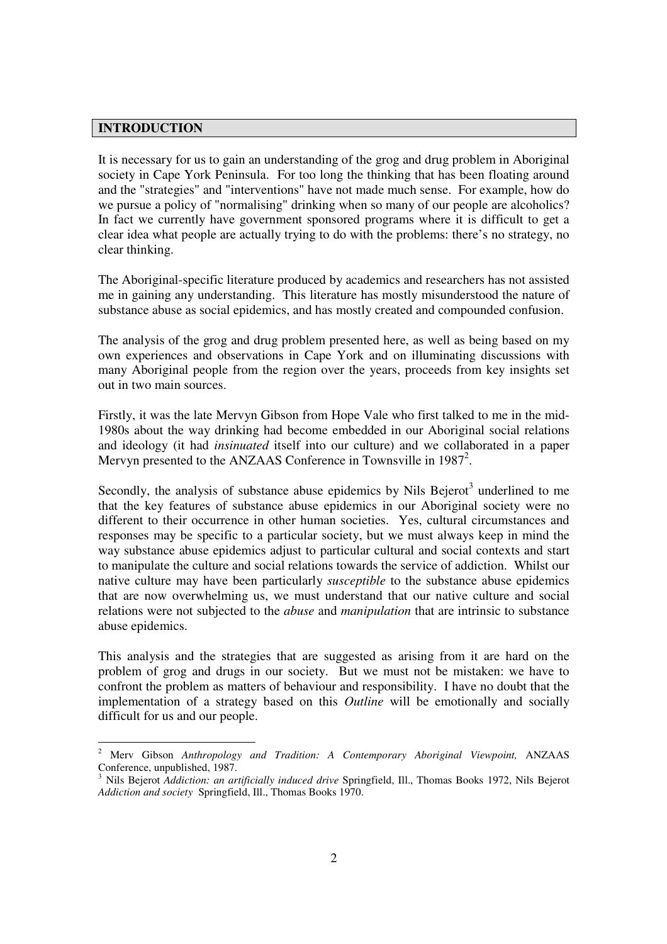# **INTRODUCTION**

It is necessary for us to gain an understanding of the grog and drug problem in Aboriginal society in Cape York Peninsula. For too long the thinking that has been floating around and the "strategies" and "interventions" have not made much sense. For example, how do we pursue a policy of "normalising" drinking when so many of our people are alcoholics? In fact we currently have government sponsored programs where it is difficult to get a clear idea what people are actually trying to do with the problems: there's no strategy, no clear thinking.

The Aboriginal-specific literature produced by academics and researchers has not assisted me in gaining any understanding. This literature has mostly misunderstood the nature of substance abuse as social epidemics, and has mostly created and compounded confusion.

The analysis of the grog and drug problem presented here, as well as being based on my own experiences and observations in Cape York and on illuminating discussions with many Aboriginal people from the region over the years, proceeds from key insights set out in two main sources.

Firstly, it was the late Mervyn Gibson from Hope Vale who first talked to me in the mid-1980s about the way drinking had become embedded in our Aboriginal social relations and ideology (it had *insinuated* itself into our culture) and we collaborated in a paper Mervyn presented to the ANZAAS Conference in Townsville in 1987<sup>2</sup>.

Secondly, the analysis of substance abuse epidemics by Nils Bejerot<sup>3</sup> underlined to me that the key features of substance abuse epidemics in our Aboriginal society were no different to their occurrence in other human societies. Yes, cultural circumstances and responses may be specific to a particular society, but we must always keep in mind the way substance abuse epidemics adjust to particular cultural and social contexts and start to manipulate the culture and social relations towards the service of addiction. Whilst our native culture may have been particularly *susceptible* to the substance abuse epidemics that are now overwhelming us, we must understand that our native culture and social relations were not subjected to the *abuse* and *manipulation* that are intrinsic to substance abuse epidemics.

This analysis and the strategies that are suggested as arising from it are hard on the problem of grog and drugs in our society. But we must not be mistaken: we have to confront the problem as matters of behaviour and responsibility. I have no doubt that the implementation of a strategy based on this *Outline* will be emotionally and socially difficult for us and our people.

<sup>-</sup>2 Merv Gibson *Anthropology and Tradition: A Contemporary Aboriginal Viewpoint,* ANZAAS Conference, unpublished, 1987.

<sup>3</sup> Nils Bejerot *Addiction: an artificially induced drive* Springfield, Ill., Thomas Books 1972, Nils Bejerot *Addiction and society* Springfield, Ill., Thomas Books 1970.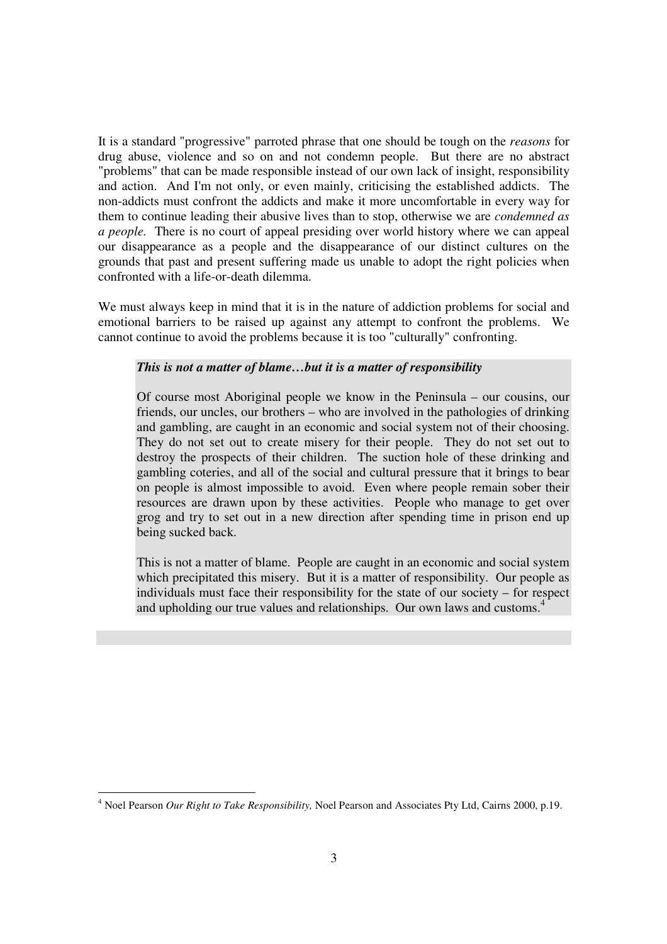It is a standard "progressive" parroted phrase that one should be tough on the *reasons* for drug abuse, violence and so on and not condemn people. But there are no abstract "problems" that can be made responsible instead of our own lack of insight, responsibility and action. And I'm not only, or even mainly, criticising the established addicts. The non-addicts must confront the addicts and make it more uncomfortable in every way for them to continue leading their abusive lives than to stop, otherwise we are *condemned as a people.* There is no court of appeal presiding over world history where we can appeal our disappearance as a people and the disappearance of our distinct cultures on the grounds that past and present suffering made us unable to adopt the right policies when confronted with a life-or-death dilemma.

We must always keep in mind that it is in the nature of addiction problems for social and emotional barriers to be raised up against any attempt to confront the problems. We cannot continue to avoid the problems because it is too "culturally" confronting.

# *This is not a matter of blame…but it is a matter of responsibility*

Of course most Aboriginal people we know in the Peninsula – our cousins, our friends, our uncles, our brothers – who are involved in the pathologies of drinking and gambling, are caught in an economic and social system not of their choosing. They do not set out to create misery for their people. They do not set out to destroy the prospects of their children. The suction hole of these drinking and gambling coteries, and all of the social and cultural pressure that it brings to bear on people is almost impossible to avoid. Even where people remain sober their resources are drawn upon by these activities. People who manage to get over grog and try to set out in a new direction after spending time in prison end up being sucked back.

This is not a matter of blame. People are caught in an economic and social system which precipitated this misery. But it is a matter of responsibility. Our people as individuals must face their responsibility for the state of our society – for respect and upholding our true values and relationships. Our own laws and customs.<sup>4</sup>

<sup>-</sup><sup>4</sup> Noel Pearson Our Right to Take Responsibility, Noel Pearson and Associates Pty Ltd, Cairns 2000, p.19.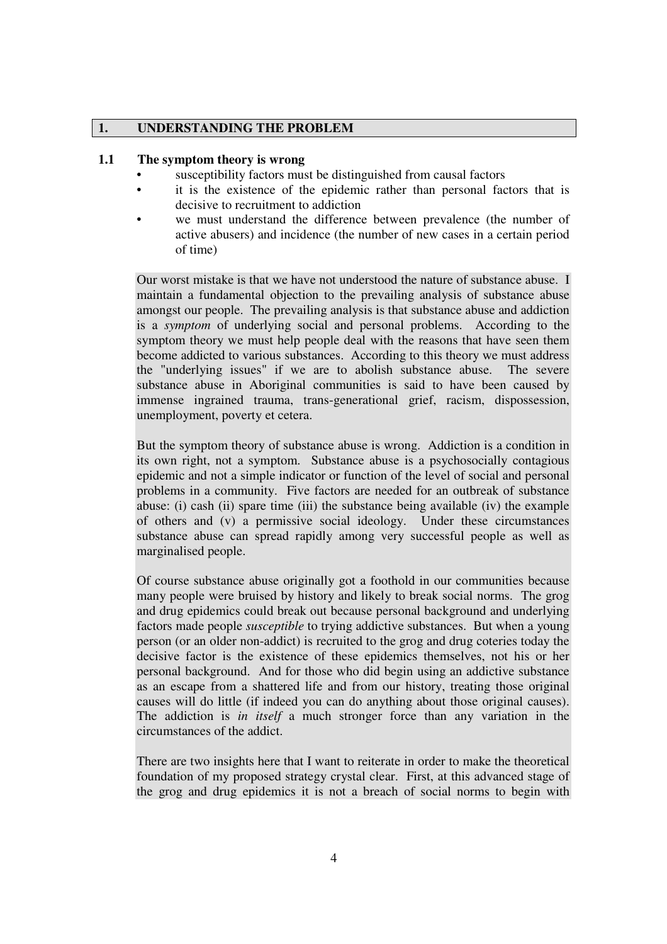# **1. UNDERSTANDING THE PROBLEM**

#### **1.1 The symptom theory is wrong**

- susceptibility factors must be distinguished from causal factors
- it is the existence of the epidemic rather than personal factors that is decisive to recruitment to addiction
- we must understand the difference between prevalence (the number of active abusers) and incidence (the number of new cases in a certain period of time)

Our worst mistake is that we have not understood the nature of substance abuse. I maintain a fundamental objection to the prevailing analysis of substance abuse amongst our people. The prevailing analysis is that substance abuse and addiction is a *symptom* of underlying social and personal problems. According to the symptom theory we must help people deal with the reasons that have seen them become addicted to various substances. According to this theory we must address the "underlying issues" if we are to abolish substance abuse. The severe substance abuse in Aboriginal communities is said to have been caused by immense ingrained trauma, trans-generational grief, racism, dispossession, unemployment, poverty et cetera.

But the symptom theory of substance abuse is wrong. Addiction is a condition in its own right, not a symptom. Substance abuse is a psychosocially contagious epidemic and not a simple indicator or function of the level of social and personal problems in a community. Five factors are needed for an outbreak of substance abuse: (i) cash (ii) spare time (iii) the substance being available (iv) the example of others and (v) a permissive social ideology. Under these circumstances substance abuse can spread rapidly among very successful people as well as marginalised people.

Of course substance abuse originally got a foothold in our communities because many people were bruised by history and likely to break social norms. The grog and drug epidemics could break out because personal background and underlying factors made people *susceptible* to trying addictive substances. But when a young person (or an older non-addict) is recruited to the grog and drug coteries today the decisive factor is the existence of these epidemics themselves, not his or her personal background. And for those who did begin using an addictive substance as an escape from a shattered life and from our history, treating those original causes will do little (if indeed you can do anything about those original causes). The addiction is *in itself* a much stronger force than any variation in the circumstances of the addict.

There are two insights here that I want to reiterate in order to make the theoretical foundation of my proposed strategy crystal clear. First, at this advanced stage of the grog and drug epidemics it is not a breach of social norms to begin with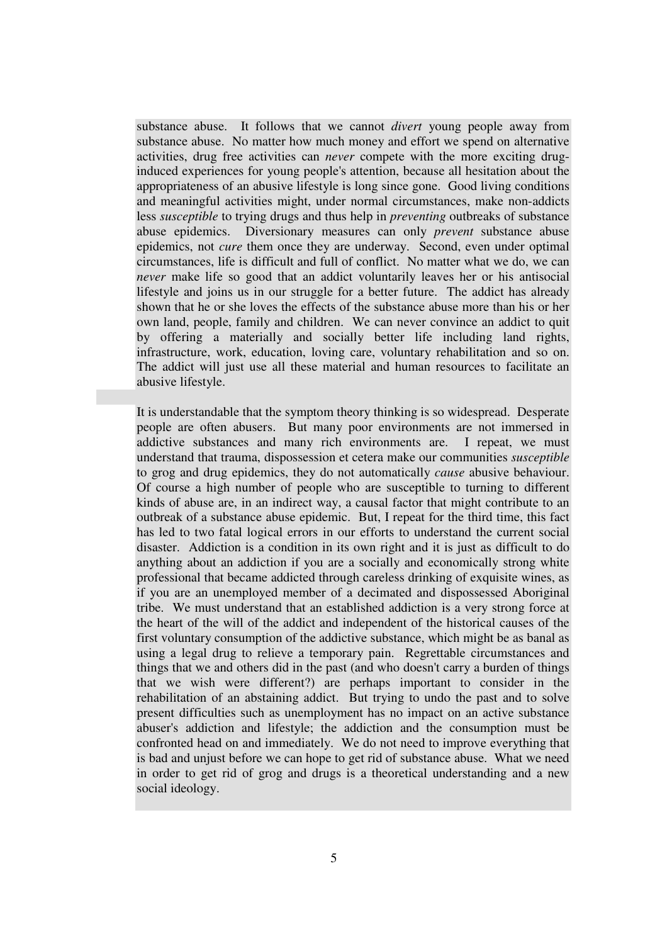substance abuse. It follows that we cannot *divert* young people away from substance abuse. No matter how much money and effort we spend on alternative activities, drug free activities can *never* compete with the more exciting druginduced experiences for young people's attention, because all hesitation about the appropriateness of an abusive lifestyle is long since gone. Good living conditions and meaningful activities might, under normal circumstances, make non-addicts less *susceptible* to trying drugs and thus help in *preventing* outbreaks of substance abuse epidemics. Diversionary measures can only *prevent* substance abuse epidemics, not *cure* them once they are underway. Second, even under optimal circumstances, life is difficult and full of conflict. No matter what we do, we can *never* make life so good that an addict voluntarily leaves her or his antisocial lifestyle and joins us in our struggle for a better future. The addict has already shown that he or she loves the effects of the substance abuse more than his or her own land, people, family and children. We can never convince an addict to quit by offering a materially and socially better life including land rights, infrastructure, work, education, loving care, voluntary rehabilitation and so on. The addict will just use all these material and human resources to facilitate an abusive lifestyle.

It is understandable that the symptom theory thinking is so widespread. Desperate people are often abusers. But many poor environments are not immersed in addictive substances and many rich environments are. I repeat, we must understand that trauma, dispossession et cetera make our communities *susceptible*  to grog and drug epidemics, they do not automatically *cause* abusive behaviour. Of course a high number of people who are susceptible to turning to different kinds of abuse are, in an indirect way, a causal factor that might contribute to an outbreak of a substance abuse epidemic. But, I repeat for the third time, this fact has led to two fatal logical errors in our efforts to understand the current social disaster. Addiction is a condition in its own right and it is just as difficult to do anything about an addiction if you are a socially and economically strong white professional that became addicted through careless drinking of exquisite wines, as if you are an unemployed member of a decimated and dispossessed Aboriginal tribe. We must understand that an established addiction is a very strong force at the heart of the will of the addict and independent of the historical causes of the first voluntary consumption of the addictive substance, which might be as banal as using a legal drug to relieve a temporary pain. Regrettable circumstances and things that we and others did in the past (and who doesn't carry a burden of things that we wish were different?) are perhaps important to consider in the rehabilitation of an abstaining addict. But trying to undo the past and to solve present difficulties such as unemployment has no impact on an active substance abuser's addiction and lifestyle; the addiction and the consumption must be confronted head on and immediately. We do not need to improve everything that is bad and unjust before we can hope to get rid of substance abuse. What we need in order to get rid of grog and drugs is a theoretical understanding and a new social ideology.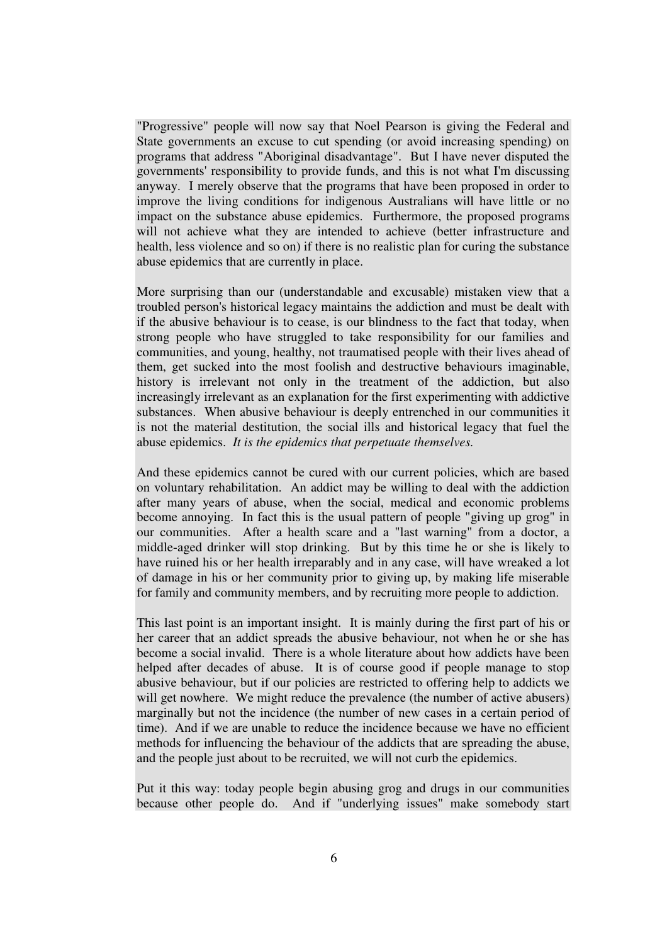"Progressive" people will now say that Noel Pearson is giving the Federal and State governments an excuse to cut spending (or avoid increasing spending) on programs that address "Aboriginal disadvantage". But I have never disputed the governments' responsibility to provide funds, and this is not what I'm discussing anyway. I merely observe that the programs that have been proposed in order to improve the living conditions for indigenous Australians will have little or no impact on the substance abuse epidemics. Furthermore, the proposed programs will not achieve what they are intended to achieve (better infrastructure and health, less violence and so on) if there is no realistic plan for curing the substance abuse epidemics that are currently in place.

More surprising than our (understandable and excusable) mistaken view that a troubled person's historical legacy maintains the addiction and must be dealt with if the abusive behaviour is to cease, is our blindness to the fact that today, when strong people who have struggled to take responsibility for our families and communities, and young, healthy, not traumatised people with their lives ahead of them, get sucked into the most foolish and destructive behaviours imaginable, history is irrelevant not only in the treatment of the addiction, but also increasingly irrelevant as an explanation for the first experimenting with addictive substances. When abusive behaviour is deeply entrenched in our communities it is not the material destitution, the social ills and historical legacy that fuel the abuse epidemics. *It is the epidemics that perpetuate themselves.* 

And these epidemics cannot be cured with our current policies, which are based on voluntary rehabilitation. An addict may be willing to deal with the addiction after many years of abuse, when the social, medical and economic problems become annoying. In fact this is the usual pattern of people "giving up grog" in our communities. After a health scare and a "last warning" from a doctor, a middle-aged drinker will stop drinking. But by this time he or she is likely to have ruined his or her health irreparably and in any case, will have wreaked a lot of damage in his or her community prior to giving up, by making life miserable for family and community members, and by recruiting more people to addiction.

This last point is an important insight. It is mainly during the first part of his or her career that an addict spreads the abusive behaviour, not when he or she has become a social invalid. There is a whole literature about how addicts have been helped after decades of abuse. It is of course good if people manage to stop abusive behaviour, but if our policies are restricted to offering help to addicts we will get nowhere. We might reduce the prevalence (the number of active abusers) marginally but not the incidence (the number of new cases in a certain period of time). And if we are unable to reduce the incidence because we have no efficient methods for influencing the behaviour of the addicts that are spreading the abuse, and the people just about to be recruited, we will not curb the epidemics.

Put it this way: today people begin abusing grog and drugs in our communities because other people do. And if "underlying issues" make somebody start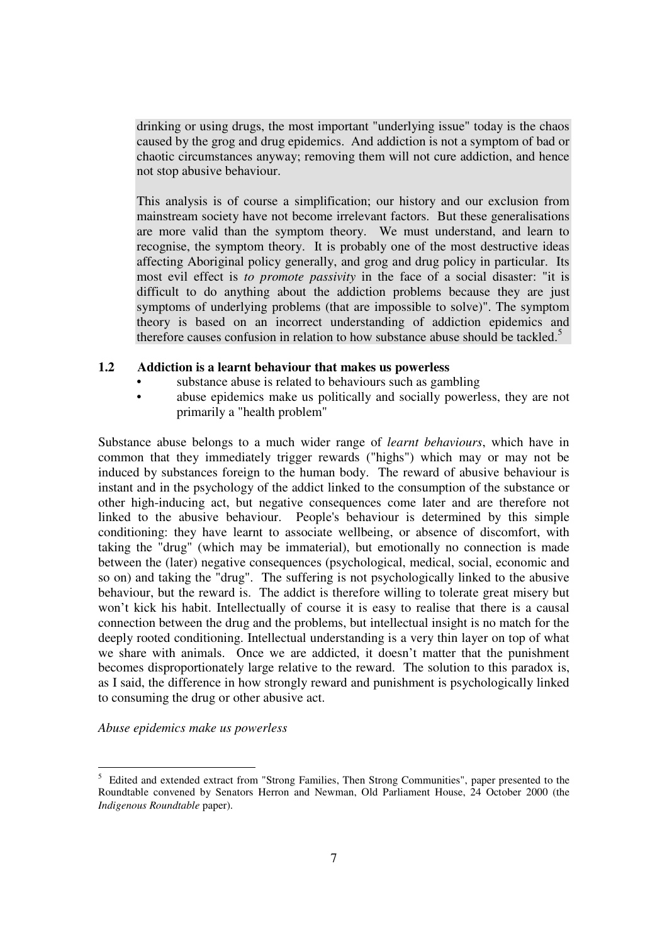drinking or using drugs, the most important "underlying issue" today is the chaos caused by the grog and drug epidemics. And addiction is not a symptom of bad or chaotic circumstances anyway; removing them will not cure addiction, and hence not stop abusive behaviour.

This analysis is of course a simplification; our history and our exclusion from mainstream society have not become irrelevant factors. But these generalisations are more valid than the symptom theory. We must understand, and learn to recognise, the symptom theory. It is probably one of the most destructive ideas affecting Aboriginal policy generally, and grog and drug policy in particular. Its most evil effect is *to promote passivity* in the face of a social disaster: "it is difficult to do anything about the addiction problems because they are just symptoms of underlying problems (that are impossible to solve)". The symptom theory is based on an incorrect understanding of addiction epidemics and therefore causes confusion in relation to how substance abuse should be tackled.<sup>5</sup>

# **1.2 Addiction is a learnt behaviour that makes us powerless**

- substance abuse is related to behaviours such as gambling
- abuse epidemics make us politically and socially powerless, they are not primarily a "health problem"

Substance abuse belongs to a much wider range of *learnt behaviours*, which have in common that they immediately trigger rewards ("highs") which may or may not be induced by substances foreign to the human body. The reward of abusive behaviour is instant and in the psychology of the addict linked to the consumption of the substance or other high-inducing act, but negative consequences come later and are therefore not linked to the abusive behaviour. People's behaviour is determined by this simple conditioning: they have learnt to associate wellbeing, or absence of discomfort, with taking the "drug" (which may be immaterial), but emotionally no connection is made between the (later) negative consequences (psychological, medical, social, economic and so on) and taking the "drug". The suffering is not psychologically linked to the abusive behaviour, but the reward is. The addict is therefore willing to tolerate great misery but won't kick his habit. Intellectually of course it is easy to realise that there is a causal connection between the drug and the problems, but intellectual insight is no match for the deeply rooted conditioning. Intellectual understanding is a very thin layer on top of what we share with animals. Once we are addicted, it doesn't matter that the punishment becomes disproportionately large relative to the reward. The solution to this paradox is, as I said, the difference in how strongly reward and punishment is psychologically linked to consuming the drug or other abusive act.

*Abuse epidemics make us powerless* 

<sup>&</sup>lt;sup>5</sup> Edited and extended extract from "Strong Families, Then Strong Communities", paper presented to the Roundtable convened by Senators Herron and Newman, Old Parliament House, 24 October 2000 (the *Indigenous Roundtable* paper).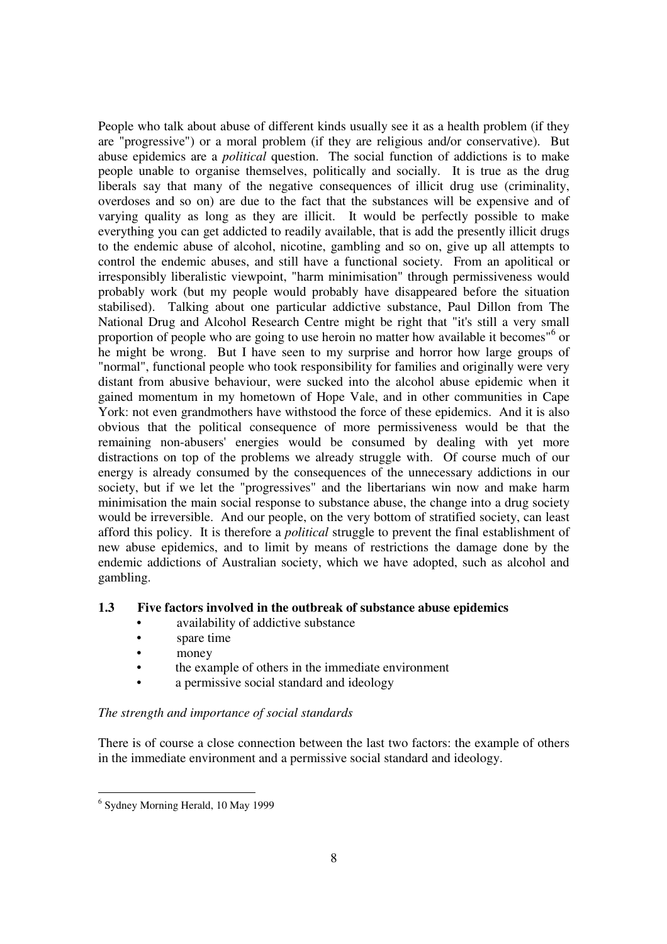People who talk about abuse of different kinds usually see it as a health problem (if they are "progressive") or a moral problem (if they are religious and/or conservative). But abuse epidemics are a *political* question. The social function of addictions is to make people unable to organise themselves, politically and socially. It is true as the drug liberals say that many of the negative consequences of illicit drug use (criminality, overdoses and so on) are due to the fact that the substances will be expensive and of varying quality as long as they are illicit. It would be perfectly possible to make everything you can get addicted to readily available, that is add the presently illicit drugs to the endemic abuse of alcohol, nicotine, gambling and so on, give up all attempts to control the endemic abuses, and still have a functional society. From an apolitical or irresponsibly liberalistic viewpoint, "harm minimisation" through permissiveness would probably work (but my people would probably have disappeared before the situation stabilised). Talking about one particular addictive substance, Paul Dillon from The National Drug and Alcohol Research Centre might be right that "it's still a very small proportion of people who are going to use heroin no matter how available it becomes"<sup>6</sup> or he might be wrong. But I have seen to my surprise and horror how large groups of "normal", functional people who took responsibility for families and originally were very distant from abusive behaviour, were sucked into the alcohol abuse epidemic when it gained momentum in my hometown of Hope Vale, and in other communities in Cape York: not even grandmothers have withstood the force of these epidemics. And it is also obvious that the political consequence of more permissiveness would be that the remaining non-abusers' energies would be consumed by dealing with yet more distractions on top of the problems we already struggle with. Of course much of our energy is already consumed by the consequences of the unnecessary addictions in our society, but if we let the "progressives" and the libertarians win now and make harm minimisation the main social response to substance abuse, the change into a drug society would be irreversible. And our people, on the very bottom of stratified society, can least afford this policy. It is therefore a *political* struggle to prevent the final establishment of new abuse epidemics, and to limit by means of restrictions the damage done by the endemic addictions of Australian society, which we have adopted, such as alcohol and gambling.

# **1.3 Five factors involved in the outbreak of substance abuse epidemics**

- availability of addictive substance
- spare time
- money
- the example of others in the immediate environment
- a permissive social standard and ideology

# *The strength and importance of social standards*

There is of course a close connection between the last two factors: the example of others in the immediate environment and a permissive social standard and ideology.

 6 Sydney Morning Herald, 10 May 1999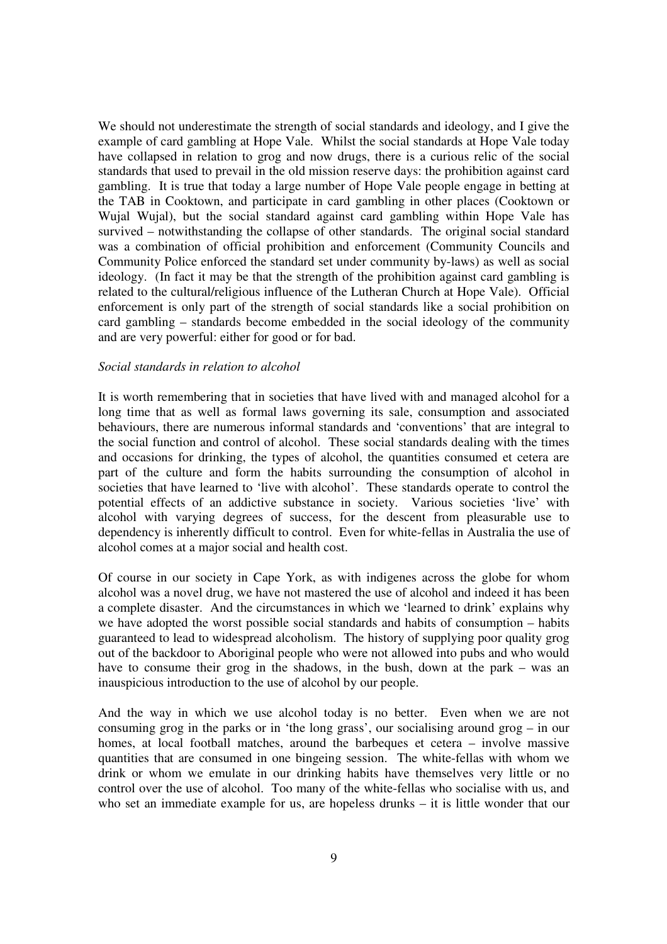We should not underestimate the strength of social standards and ideology, and I give the example of card gambling at Hope Vale. Whilst the social standards at Hope Vale today have collapsed in relation to grog and now drugs, there is a curious relic of the social standards that used to prevail in the old mission reserve days: the prohibition against card gambling. It is true that today a large number of Hope Vale people engage in betting at the TAB in Cooktown, and participate in card gambling in other places (Cooktown or Wujal Wujal), but the social standard against card gambling within Hope Vale has survived – notwithstanding the collapse of other standards. The original social standard was a combination of official prohibition and enforcement (Community Councils and Community Police enforced the standard set under community by-laws) as well as social ideology. (In fact it may be that the strength of the prohibition against card gambling is related to the cultural/religious influence of the Lutheran Church at Hope Vale). Official enforcement is only part of the strength of social standards like a social prohibition on card gambling – standards become embedded in the social ideology of the community and are very powerful: either for good or for bad.

#### *Social standards in relation to alcohol*

It is worth remembering that in societies that have lived with and managed alcohol for a long time that as well as formal laws governing its sale, consumption and associated behaviours, there are numerous informal standards and 'conventions' that are integral to the social function and control of alcohol. These social standards dealing with the times and occasions for drinking, the types of alcohol, the quantities consumed et cetera are part of the culture and form the habits surrounding the consumption of alcohol in societies that have learned to 'live with alcohol'. These standards operate to control the potential effects of an addictive substance in society. Various societies 'live' with alcohol with varying degrees of success, for the descent from pleasurable use to dependency is inherently difficult to control. Even for white-fellas in Australia the use of alcohol comes at a major social and health cost.

Of course in our society in Cape York, as with indigenes across the globe for whom alcohol was a novel drug, we have not mastered the use of alcohol and indeed it has been a complete disaster. And the circumstances in which we 'learned to drink' explains why we have adopted the worst possible social standards and habits of consumption – habits guaranteed to lead to widespread alcoholism. The history of supplying poor quality grog out of the backdoor to Aboriginal people who were not allowed into pubs and who would have to consume their grog in the shadows, in the bush, down at the park – was an inauspicious introduction to the use of alcohol by our people.

And the way in which we use alcohol today is no better. Even when we are not consuming grog in the parks or in 'the long grass', our socialising around grog – in our homes, at local football matches, around the barbeques et cetera – involve massive quantities that are consumed in one bingeing session. The white-fellas with whom we drink or whom we emulate in our drinking habits have themselves very little or no control over the use of alcohol. Too many of the white-fellas who socialise with us, and who set an immediate example for us, are hopeless drunks – it is little wonder that our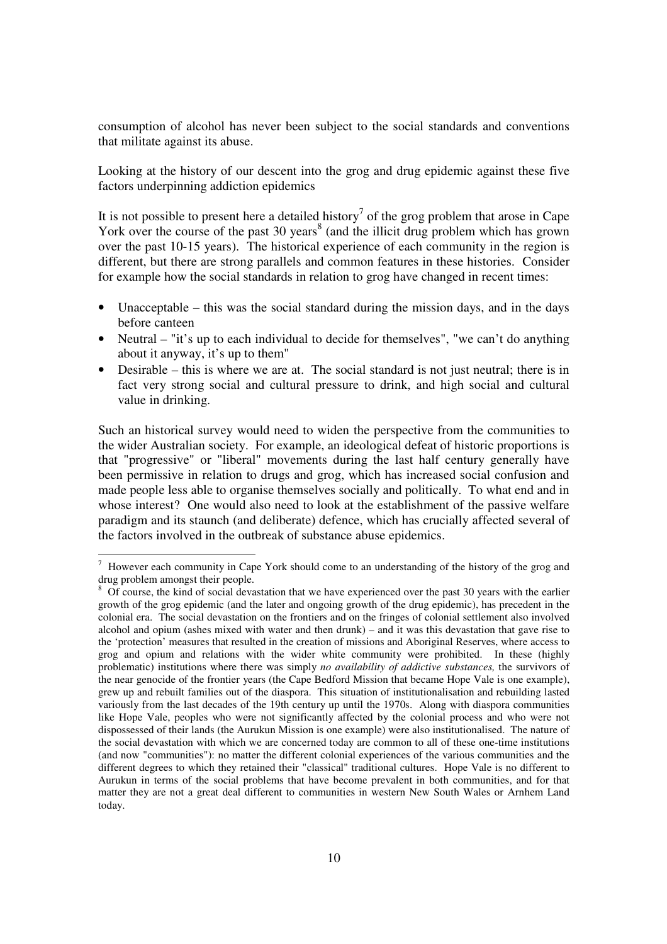consumption of alcohol has never been subject to the social standards and conventions that militate against its abuse.

Looking at the history of our descent into the grog and drug epidemic against these five factors underpinning addiction epidemics

It is not possible to present here a detailed history<sup>7</sup> of the grog problem that arose in Cape York over the course of the past  $30$  years<sup>8</sup> (and the illicit drug problem which has grown over the past 10-15 years). The historical experience of each community in the region is different, but there are strong parallels and common features in these histories. Consider for example how the social standards in relation to grog have changed in recent times:

- Unacceptable this was the social standard during the mission days, and in the days before canteen
- Neutral "it's up to each individual to decide for themselves", "we can't do anything about it anyway, it's up to them"
- Desirable this is where we are at. The social standard is not just neutral; there is in fact very strong social and cultural pressure to drink, and high social and cultural value in drinking.

Such an historical survey would need to widen the perspective from the communities to the wider Australian society. For example, an ideological defeat of historic proportions is that "progressive" or "liberal" movements during the last half century generally have been permissive in relation to drugs and grog, which has increased social confusion and made people less able to organise themselves socially and politically. To what end and in whose interest? One would also need to look at the establishment of the passive welfare paradigm and its staunch (and deliberate) defence, which has crucially affected several of the factors involved in the outbreak of substance abuse epidemics.

T<br><sup>7</sup> However each community in Cape York should come to an understanding of the history of the grog and drug problem amongst their people.

<sup>8</sup> Of course, the kind of social devastation that we have experienced over the past 30 years with the earlier growth of the grog epidemic (and the later and ongoing growth of the drug epidemic), has precedent in the colonial era. The social devastation on the frontiers and on the fringes of colonial settlement also involved alcohol and opium (ashes mixed with water and then drunk) – and it was this devastation that gave rise to the 'protection' measures that resulted in the creation of missions and Aboriginal Reserves, where access to grog and opium and relations with the wider white community were prohibited. In these (highly problematic) institutions where there was simply *no availability of addictive substances,* the survivors of the near genocide of the frontier years (the Cape Bedford Mission that became Hope Vale is one example), grew up and rebuilt families out of the diaspora. This situation of institutionalisation and rebuilding lasted variously from the last decades of the 19th century up until the 1970s. Along with diaspora communities like Hope Vale, peoples who were not significantly affected by the colonial process and who were not dispossessed of their lands (the Aurukun Mission is one example) were also institutionalised. The nature of the social devastation with which we are concerned today are common to all of these one-time institutions (and now "communities"): no matter the different colonial experiences of the various communities and the different degrees to which they retained their "classical" traditional cultures. Hope Vale is no different to Aurukun in terms of the social problems that have become prevalent in both communities, and for that matter they are not a great deal different to communities in western New South Wales or Arnhem Land today.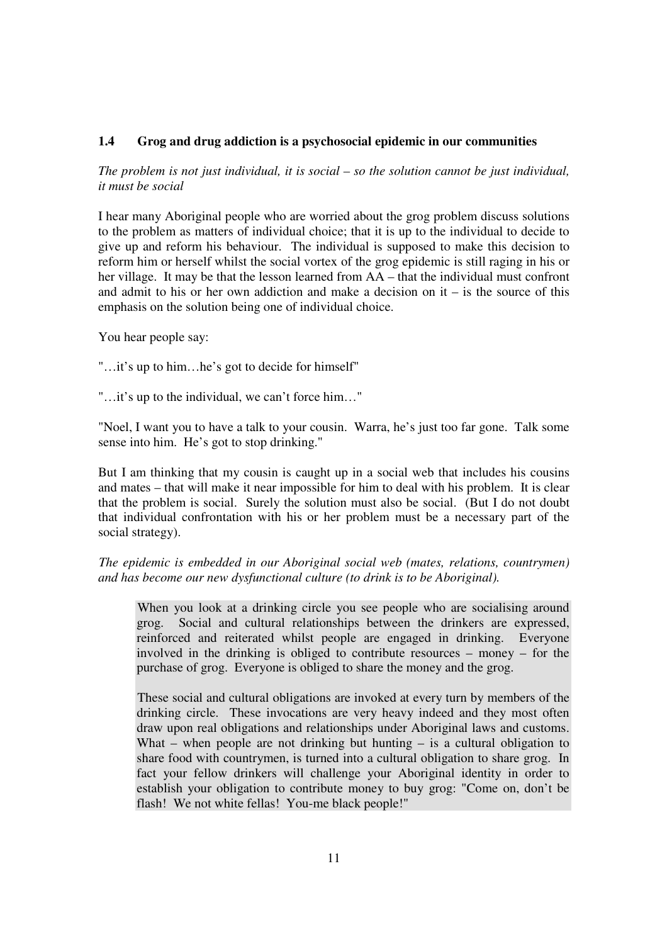# **1.4 Grog and drug addiction is a psychosocial epidemic in our communities**

*The problem is not just individual, it is social – so the solution cannot be just individual, it must be social* 

I hear many Aboriginal people who are worried about the grog problem discuss solutions to the problem as matters of individual choice; that it is up to the individual to decide to give up and reform his behaviour. The individual is supposed to make this decision to reform him or herself whilst the social vortex of the grog epidemic is still raging in his or her village. It may be that the lesson learned from AA – that the individual must confront and admit to his or her own addiction and make a decision on it – is the source of this emphasis on the solution being one of individual choice.

You hear people say:

"…it's up to him…he's got to decide for himself"

"…it's up to the individual, we can't force him…"

"Noel, I want you to have a talk to your cousin. Warra, he's just too far gone. Talk some sense into him. He's got to stop drinking."

But I am thinking that my cousin is caught up in a social web that includes his cousins and mates – that will make it near impossible for him to deal with his problem. It is clear that the problem is social. Surely the solution must also be social. (But I do not doubt that individual confrontation with his or her problem must be a necessary part of the social strategy).

*The epidemic is embedded in our Aboriginal social web (mates, relations, countrymen) and has become our new dysfunctional culture (to drink is to be Aboriginal).* 

When you look at a drinking circle you see people who are socialising around grog. Social and cultural relationships between the drinkers are expressed, reinforced and reiterated whilst people are engaged in drinking. Everyone involved in the drinking is obliged to contribute resources – money – for the purchase of grog. Everyone is obliged to share the money and the grog.

These social and cultural obligations are invoked at every turn by members of the drinking circle. These invocations are very heavy indeed and they most often draw upon real obligations and relationships under Aboriginal laws and customs. What – when people are not drinking but hunting – is a cultural obligation to share food with countrymen, is turned into a cultural obligation to share grog. In fact your fellow drinkers will challenge your Aboriginal identity in order to establish your obligation to contribute money to buy grog: "Come on, don't be flash! We not white fellas! You-me black people!"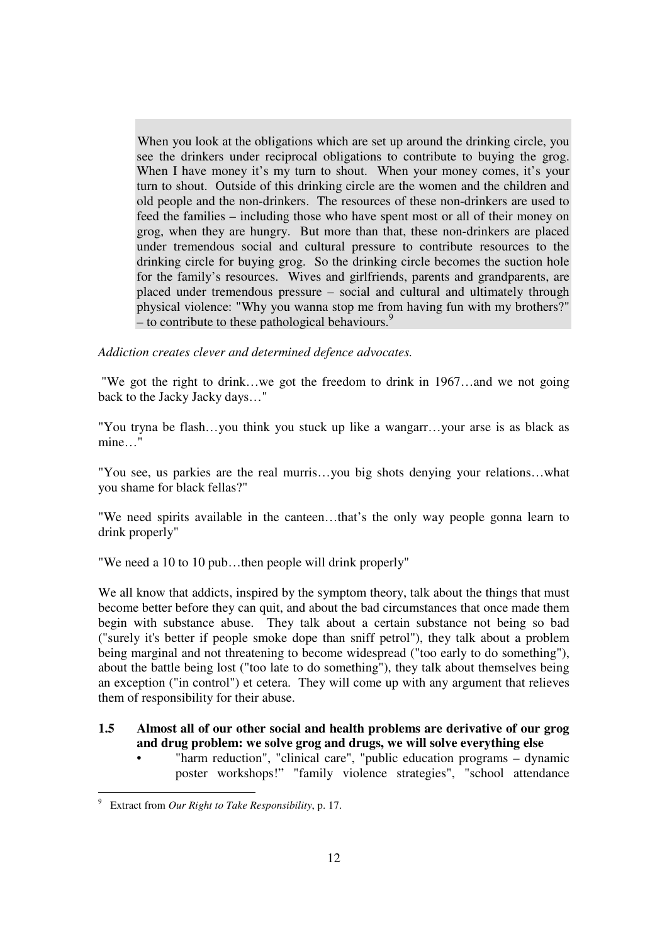When you look at the obligations which are set up around the drinking circle, you see the drinkers under reciprocal obligations to contribute to buying the grog. When I have money it's my turn to shout. When your money comes, it's your turn to shout. Outside of this drinking circle are the women and the children and old people and the non-drinkers. The resources of these non-drinkers are used to feed the families – including those who have spent most or all of their money on grog, when they are hungry. But more than that, these non-drinkers are placed under tremendous social and cultural pressure to contribute resources to the drinking circle for buying grog. So the drinking circle becomes the suction hole for the family's resources. Wives and girlfriends, parents and grandparents, are placed under tremendous pressure – social and cultural and ultimately through physical violence: "Why you wanna stop me from having fun with my brothers?" – to contribute to these pathological behaviours.<sup>9</sup>

*Addiction creates clever and determined defence advocates.* 

"We got the right to drink…we got the freedom to drink in 1967…and we not going back to the Jacky Jacky days…"

"You tryna be flash…you think you stuck up like a wangarr…your arse is as black as mine…"

"You see, us parkies are the real murris…you big shots denying your relations…what you shame for black fellas?"

"We need spirits available in the canteen…that's the only way people gonna learn to drink properly"

"We need a 10 to 10 pub…then people will drink properly"

We all know that addicts, inspired by the symptom theory, talk about the things that must become better before they can quit, and about the bad circumstances that once made them begin with substance abuse. They talk about a certain substance not being so bad ("surely it's better if people smoke dope than sniff petrol"), they talk about a problem being marginal and not threatening to become widespread ("too early to do something"), about the battle being lost ("too late to do something"), they talk about themselves being an exception ("in control") et cetera. They will come up with any argument that relieves them of responsibility for their abuse.

# **1.5 Almost all of our other social and health problems are derivative of our grog and drug problem: we solve grog and drugs, we will solve everything else**

• "harm reduction", "clinical care", "public education programs – dynamic poster workshops!" "family violence strategies", "school attendance

<sup>-</sup>9 Extract from *Our Right to Take Responsibility*, p. 17.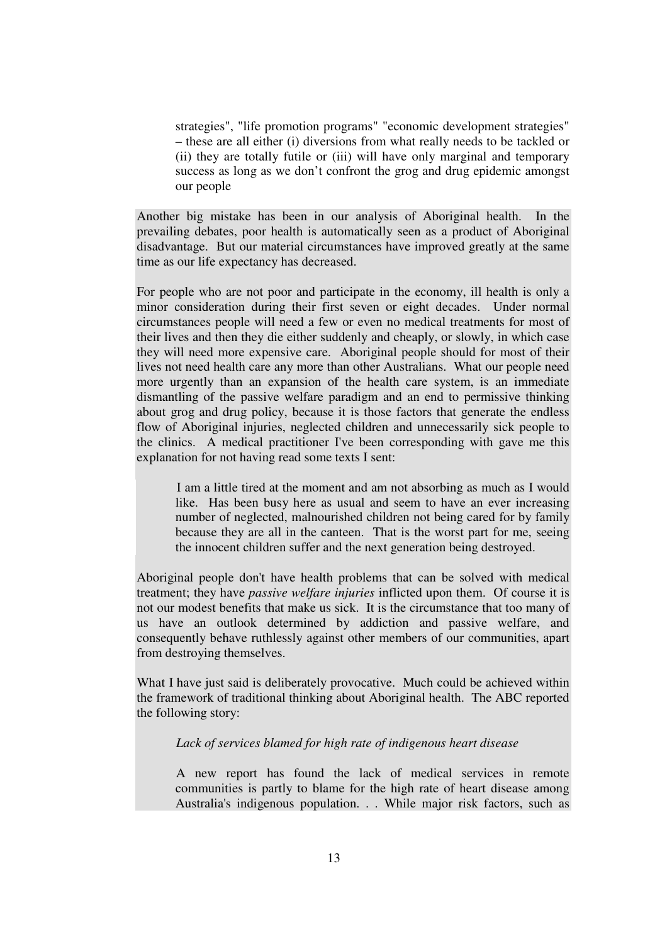strategies", "life promotion programs" "economic development strategies" – these are all either (i) diversions from what really needs to be tackled or (ii) they are totally futile or (iii) will have only marginal and temporary success as long as we don't confront the grog and drug epidemic amongst our people

Another big mistake has been in our analysis of Aboriginal health. In the prevailing debates, poor health is automatically seen as a product of Aboriginal disadvantage. But our material circumstances have improved greatly at the same time as our life expectancy has decreased.

For people who are not poor and participate in the economy, ill health is only a minor consideration during their first seven or eight decades. Under normal circumstances people will need a few or even no medical treatments for most of their lives and then they die either suddenly and cheaply, or slowly, in which case they will need more expensive care. Aboriginal people should for most of their lives not need health care any more than other Australians. What our people need more urgently than an expansion of the health care system, is an immediate dismantling of the passive welfare paradigm and an end to permissive thinking about grog and drug policy, because it is those factors that generate the endless flow of Aboriginal injuries, neglected children and unnecessarily sick people to the clinics. A medical practitioner I've been corresponding with gave me this explanation for not having read some texts I sent:

 I am a little tired at the moment and am not absorbing as much as I would like. Has been busy here as usual and seem to have an ever increasing number of neglected, malnourished children not being cared for by family because they are all in the canteen. That is the worst part for me, seeing the innocent children suffer and the next generation being destroyed.

Aboriginal people don't have health problems that can be solved with medical treatment; they have *passive welfare injuries* inflicted upon them. Of course it is not our modest benefits that make us sick. It is the circumstance that too many of us have an outlook determined by addiction and passive welfare, and consequently behave ruthlessly against other members of our communities, apart from destroying themselves.

What I have just said is deliberately provocative. Much could be achieved within the framework of traditional thinking about Aboriginal health. The ABC reported the following story:

### *Lack of services blamed for high rate of indigenous heart disease*

 A new report has found the lack of medical services in remote communities is partly to blame for the high rate of heart disease among Australia's indigenous population. . . While major risk factors, such as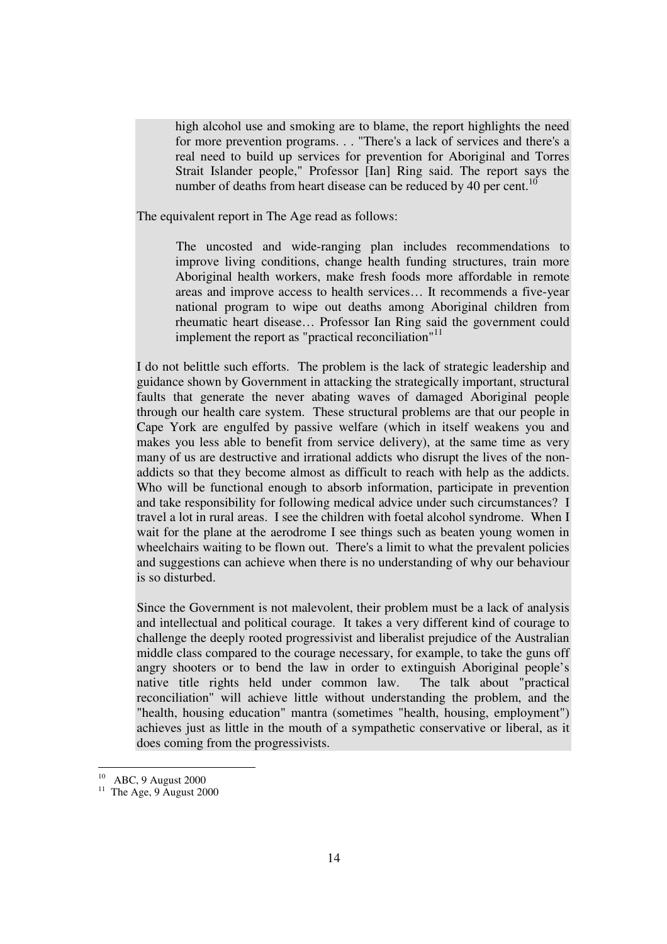high alcohol use and smoking are to blame, the report highlights the need for more prevention programs. . . "There's a lack of services and there's a real need to build up services for prevention for Aboriginal and Torres Strait Islander people," Professor [Ian] Ring said. The report says the number of deaths from heart disease can be reduced by 40 per cent.<sup>10</sup>

The equivalent report in The Age read as follows:

 The uncosted and wide-ranging plan includes recommendations to improve living conditions, change health funding structures, train more Aboriginal health workers, make fresh foods more affordable in remote areas and improve access to health services… It recommends a five-year national program to wipe out deaths among Aboriginal children from rheumatic heart disease… Professor Ian Ring said the government could implement the report as "practical reconciliation" $11$ 

I do not belittle such efforts. The problem is the lack of strategic leadership and guidance shown by Government in attacking the strategically important, structural faults that generate the never abating waves of damaged Aboriginal people through our health care system. These structural problems are that our people in Cape York are engulfed by passive welfare (which in itself weakens you and makes you less able to benefit from service delivery), at the same time as very many of us are destructive and irrational addicts who disrupt the lives of the nonaddicts so that they become almost as difficult to reach with help as the addicts. Who will be functional enough to absorb information, participate in prevention and take responsibility for following medical advice under such circumstances? I travel a lot in rural areas. I see the children with foetal alcohol syndrome. When I wait for the plane at the aerodrome I see things such as beaten young women in wheelchairs waiting to be flown out. There's a limit to what the prevalent policies and suggestions can achieve when there is no understanding of why our behaviour is so disturbed.

Since the Government is not malevolent, their problem must be a lack of analysis and intellectual and political courage. It takes a very different kind of courage to challenge the deeply rooted progressivist and liberalist prejudice of the Australian middle class compared to the courage necessary, for example, to take the guns off angry shooters or to bend the law in order to extinguish Aboriginal people's native title rights held under common law. The talk about "practical reconciliation" will achieve little without understanding the problem, and the "health, housing education" mantra (sometimes "health, housing, employment") achieves just as little in the mouth of a sympathetic conservative or liberal, as it does coming from the progressivists.

-

 $10$  ABC, 9 August 2000

<sup>&</sup>lt;sup>11</sup> The Age, 9 August 2000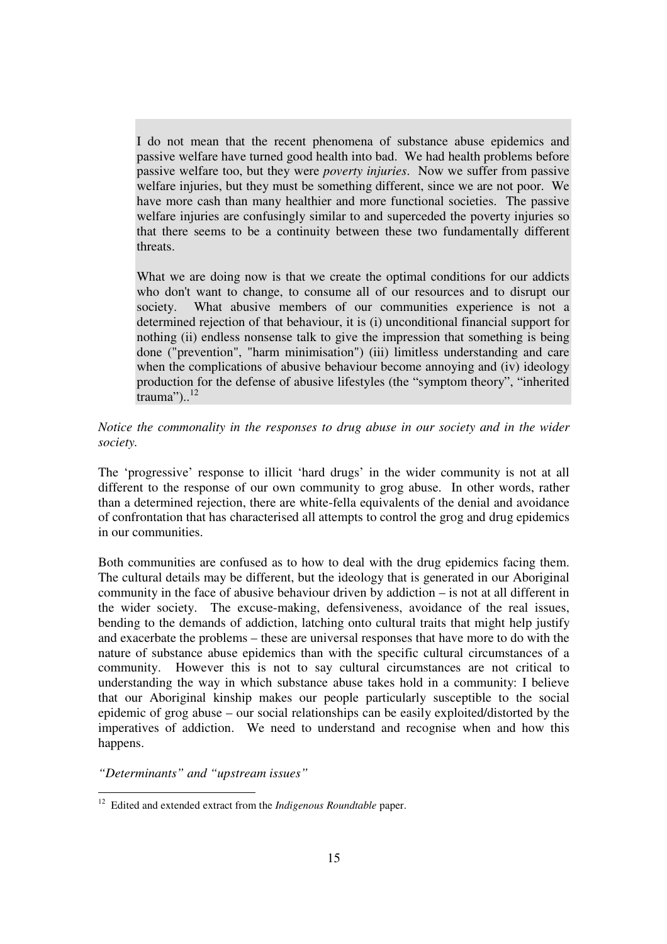I do not mean that the recent phenomena of substance abuse epidemics and passive welfare have turned good health into bad. We had health problems before passive welfare too, but they were *poverty injuries*. Now we suffer from passive welfare injuries, but they must be something different, since we are not poor. We have more cash than many healthier and more functional societies. The passive welfare injuries are confusingly similar to and superceded the poverty injuries so that there seems to be a continuity between these two fundamentally different threats.

What we are doing now is that we create the optimal conditions for our addicts who don't want to change, to consume all of our resources and to disrupt our society. What abusive members of our communities experience is not a determined rejection of that behaviour, it is (i) unconditional financial support for nothing (ii) endless nonsense talk to give the impression that something is being done ("prevention", "harm minimisation") (iii) limitless understanding and care when the complications of abusive behaviour become annoying and (iv) ideology production for the defense of abusive lifestyles (the "symptom theory", "inherited trauma"). $12$ 

*Notice the commonality in the responses to drug abuse in our society and in the wider society.* 

The 'progressive' response to illicit 'hard drugs' in the wider community is not at all different to the response of our own community to grog abuse. In other words, rather than a determined rejection, there are white-fella equivalents of the denial and avoidance of confrontation that has characterised all attempts to control the grog and drug epidemics in our communities.

Both communities are confused as to how to deal with the drug epidemics facing them. The cultural details may be different, but the ideology that is generated in our Aboriginal community in the face of abusive behaviour driven by addiction – is not at all different in the wider society. The excuse-making, defensiveness, avoidance of the real issues, bending to the demands of addiction, latching onto cultural traits that might help justify and exacerbate the problems – these are universal responses that have more to do with the nature of substance abuse epidemics than with the specific cultural circumstances of a community. However this is not to say cultural circumstances are not critical to understanding the way in which substance abuse takes hold in a community: I believe that our Aboriginal kinship makes our people particularly susceptible to the social epidemic of grog abuse – our social relationships can be easily exploited/distorted by the imperatives of addiction. We need to understand and recognise when and how this happens.

*"Determinants" and "upstream issues"* 

-

<sup>&</sup>lt;sup>12</sup> Edited and extended extract from the *Indigenous Roundtable* paper.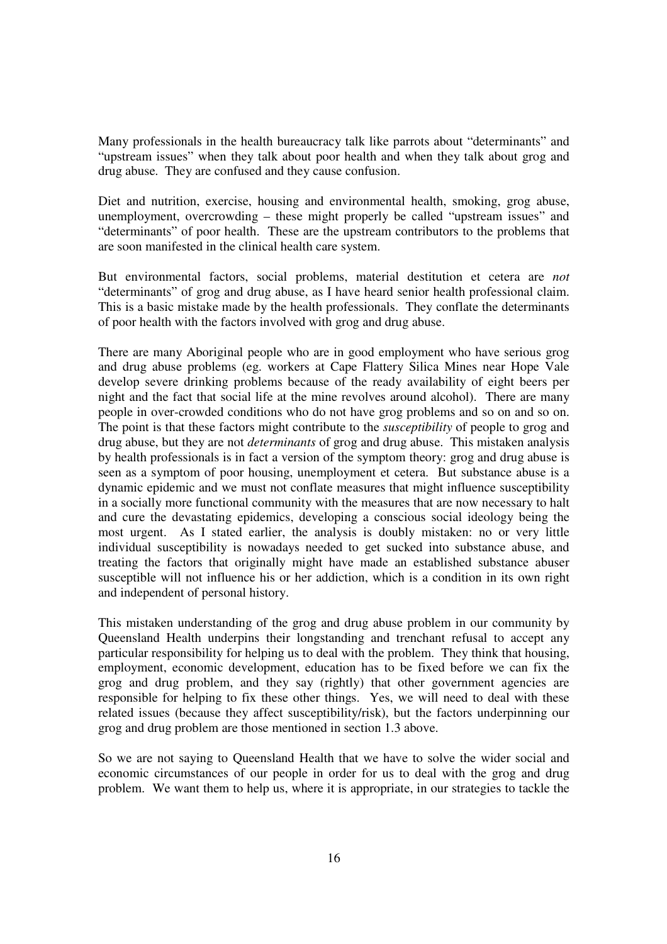Many professionals in the health bureaucracy talk like parrots about "determinants" and "upstream issues" when they talk about poor health and when they talk about grog and drug abuse. They are confused and they cause confusion.

Diet and nutrition, exercise, housing and environmental health, smoking, grog abuse, unemployment, overcrowding – these might properly be called "upstream issues" and "determinants" of poor health. These are the upstream contributors to the problems that are soon manifested in the clinical health care system.

But environmental factors, social problems, material destitution et cetera are *not* "determinants" of grog and drug abuse, as I have heard senior health professional claim. This is a basic mistake made by the health professionals. They conflate the determinants of poor health with the factors involved with grog and drug abuse.

There are many Aboriginal people who are in good employment who have serious grog and drug abuse problems (eg. workers at Cape Flattery Silica Mines near Hope Vale develop severe drinking problems because of the ready availability of eight beers per night and the fact that social life at the mine revolves around alcohol). There are many people in over-crowded conditions who do not have grog problems and so on and so on. The point is that these factors might contribute to the *susceptibility* of people to grog and drug abuse, but they are not *determinants* of grog and drug abuse. This mistaken analysis by health professionals is in fact a version of the symptom theory: grog and drug abuse is seen as a symptom of poor housing, unemployment et cetera. But substance abuse is a dynamic epidemic and we must not conflate measures that might influence susceptibility in a socially more functional community with the measures that are now necessary to halt and cure the devastating epidemics, developing a conscious social ideology being the most urgent. As I stated earlier, the analysis is doubly mistaken: no or very little individual susceptibility is nowadays needed to get sucked into substance abuse, and treating the factors that originally might have made an established substance abuser susceptible will not influence his or her addiction, which is a condition in its own right and independent of personal history.

This mistaken understanding of the grog and drug abuse problem in our community by Queensland Health underpins their longstanding and trenchant refusal to accept any particular responsibility for helping us to deal with the problem. They think that housing, employment, economic development, education has to be fixed before we can fix the grog and drug problem, and they say (rightly) that other government agencies are responsible for helping to fix these other things. Yes, we will need to deal with these related issues (because they affect susceptibility/risk), but the factors underpinning our grog and drug problem are those mentioned in section 1.3 above.

So we are not saying to Queensland Health that we have to solve the wider social and economic circumstances of our people in order for us to deal with the grog and drug problem. We want them to help us, where it is appropriate, in our strategies to tackle the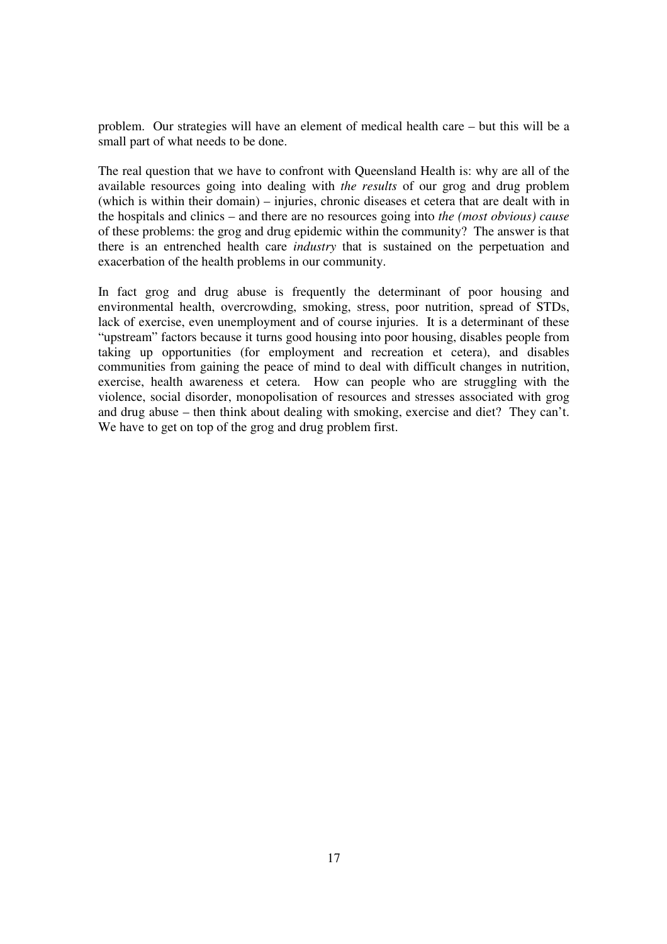problem. Our strategies will have an element of medical health care – but this will be a small part of what needs to be done.

The real question that we have to confront with Queensland Health is: why are all of the available resources going into dealing with *the results* of our grog and drug problem (which is within their domain) – injuries, chronic diseases et cetera that are dealt with in the hospitals and clinics – and there are no resources going into *the (most obvious) cause* of these problems: the grog and drug epidemic within the community? The answer is that there is an entrenched health care *industry* that is sustained on the perpetuation and exacerbation of the health problems in our community.

In fact grog and drug abuse is frequently the determinant of poor housing and environmental health, overcrowding, smoking, stress, poor nutrition, spread of STDs, lack of exercise, even unemployment and of course injuries. It is a determinant of these "upstream" factors because it turns good housing into poor housing, disables people from taking up opportunities (for employment and recreation et cetera), and disables communities from gaining the peace of mind to deal with difficult changes in nutrition, exercise, health awareness et cetera. How can people who are struggling with the violence, social disorder, monopolisation of resources and stresses associated with grog and drug abuse – then think about dealing with smoking, exercise and diet? They can't. We have to get on top of the grog and drug problem first.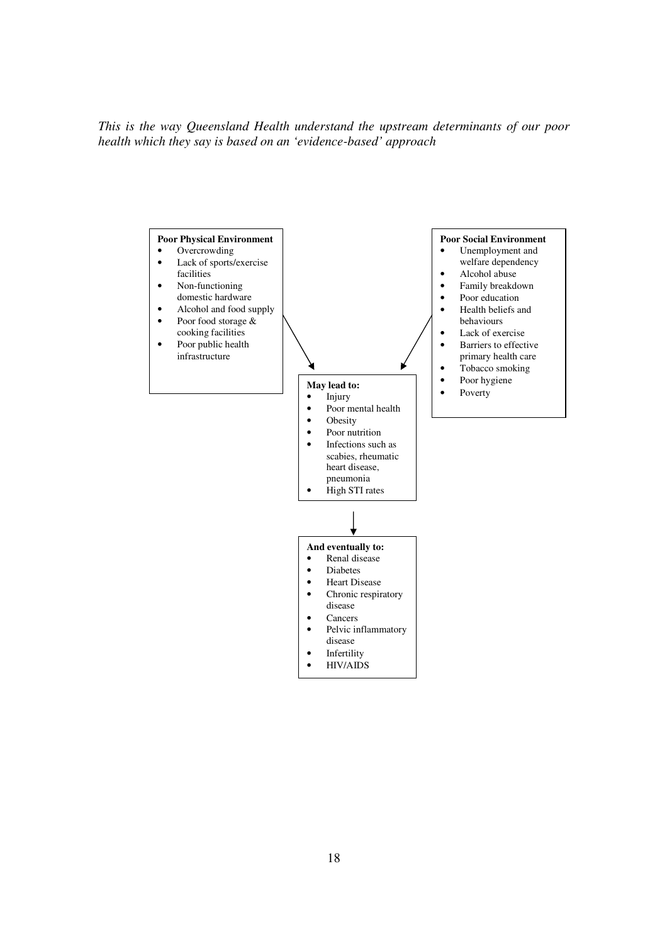*This is the way Queensland Health understand the upstream determinants of our poor health which they say is based on an 'evidence-based' approach* 

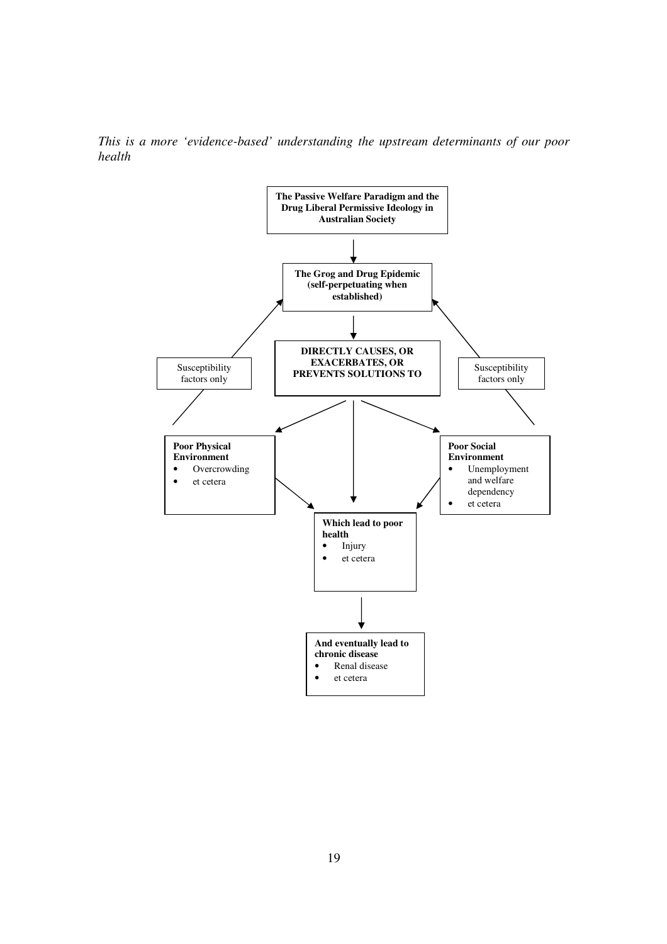*This is a more 'evidence-based' understanding the upstream determinants of our poor health* 

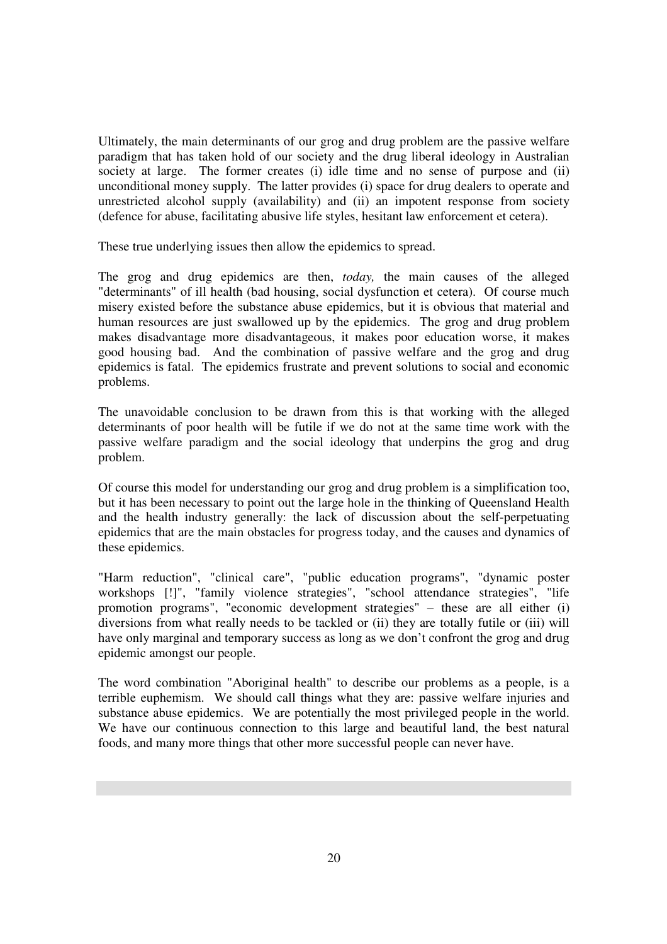Ultimately, the main determinants of our grog and drug problem are the passive welfare paradigm that has taken hold of our society and the drug liberal ideology in Australian society at large. The former creates (i) idle time and no sense of purpose and (ii) unconditional money supply. The latter provides (i) space for drug dealers to operate and unrestricted alcohol supply (availability) and (ii) an impotent response from society (defence for abuse, facilitating abusive life styles, hesitant law enforcement et cetera).

These true underlying issues then allow the epidemics to spread.

The grog and drug epidemics are then, *today,* the main causes of the alleged "determinants" of ill health (bad housing, social dysfunction et cetera). Of course much misery existed before the substance abuse epidemics, but it is obvious that material and human resources are just swallowed up by the epidemics. The grog and drug problem makes disadvantage more disadvantageous, it makes poor education worse, it makes good housing bad. And the combination of passive welfare and the grog and drug epidemics is fatal. The epidemics frustrate and prevent solutions to social and economic problems.

The unavoidable conclusion to be drawn from this is that working with the alleged determinants of poor health will be futile if we do not at the same time work with the passive welfare paradigm and the social ideology that underpins the grog and drug problem.

Of course this model for understanding our grog and drug problem is a simplification too, but it has been necessary to point out the large hole in the thinking of Queensland Health and the health industry generally: the lack of discussion about the self-perpetuating epidemics that are the main obstacles for progress today, and the causes and dynamics of these epidemics.

"Harm reduction", "clinical care", "public education programs", "dynamic poster workshops [!]", "family violence strategies", "school attendance strategies", "life promotion programs", "economic development strategies" – these are all either (i) diversions from what really needs to be tackled or (ii) they are totally futile or (iii) will have only marginal and temporary success as long as we don't confront the grog and drug epidemic amongst our people.

The word combination "Aboriginal health" to describe our problems as a people, is a terrible euphemism. We should call things what they are: passive welfare injuries and substance abuse epidemics. We are potentially the most privileged people in the world. We have our continuous connection to this large and beautiful land, the best natural foods, and many more things that other more successful people can never have.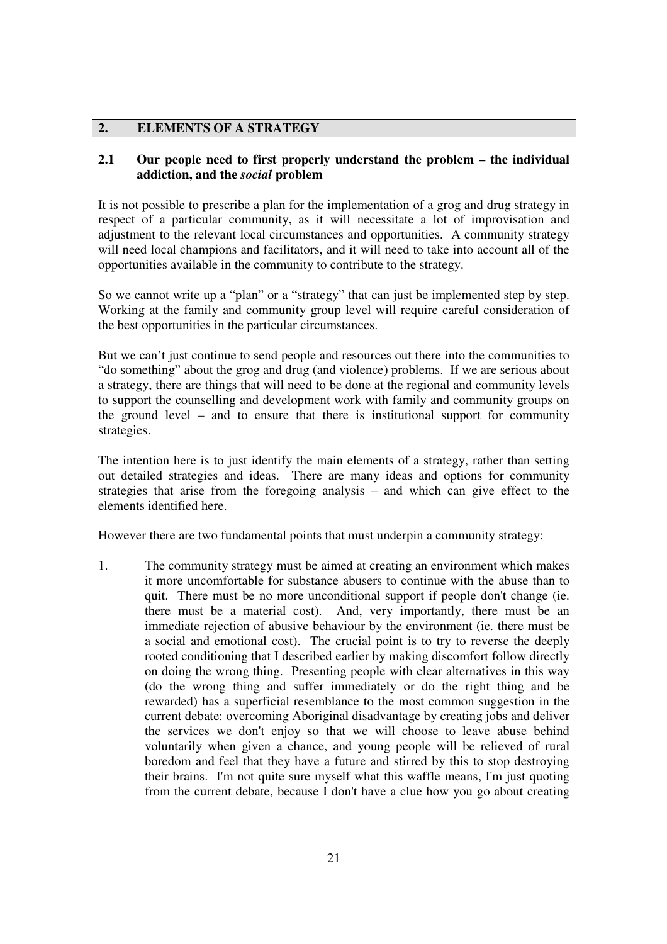# **2. ELEMENTS OF A STRATEGY**

# **2.1 Our people need to first properly understand the problem – the individual addiction, and the** *social* **problem**

It is not possible to prescribe a plan for the implementation of a grog and drug strategy in respect of a particular community, as it will necessitate a lot of improvisation and adjustment to the relevant local circumstances and opportunities. A community strategy will need local champions and facilitators, and it will need to take into account all of the opportunities available in the community to contribute to the strategy.

So we cannot write up a "plan" or a "strategy" that can just be implemented step by step. Working at the family and community group level will require careful consideration of the best opportunities in the particular circumstances.

But we can't just continue to send people and resources out there into the communities to "do something" about the grog and drug (and violence) problems. If we are serious about a strategy, there are things that will need to be done at the regional and community levels to support the counselling and development work with family and community groups on the ground level – and to ensure that there is institutional support for community strategies.

The intention here is to just identify the main elements of a strategy, rather than setting out detailed strategies and ideas. There are many ideas and options for community strategies that arise from the foregoing analysis – and which can give effect to the elements identified here.

However there are two fundamental points that must underpin a community strategy:

1. The community strategy must be aimed at creating an environment which makes it more uncomfortable for substance abusers to continue with the abuse than to quit. There must be no more unconditional support if people don't change (ie. there must be a material cost). And, very importantly, there must be an immediate rejection of abusive behaviour by the environment (ie. there must be a social and emotional cost). The crucial point is to try to reverse the deeply rooted conditioning that I described earlier by making discomfort follow directly on doing the wrong thing. Presenting people with clear alternatives in this way (do the wrong thing and suffer immediately or do the right thing and be rewarded) has a superficial resemblance to the most common suggestion in the current debate: overcoming Aboriginal disadvantage by creating jobs and deliver the services we don't enjoy so that we will choose to leave abuse behind voluntarily when given a chance, and young people will be relieved of rural boredom and feel that they have a future and stirred by this to stop destroying their brains. I'm not quite sure myself what this waffle means, I'm just quoting from the current debate, because I don't have a clue how you go about creating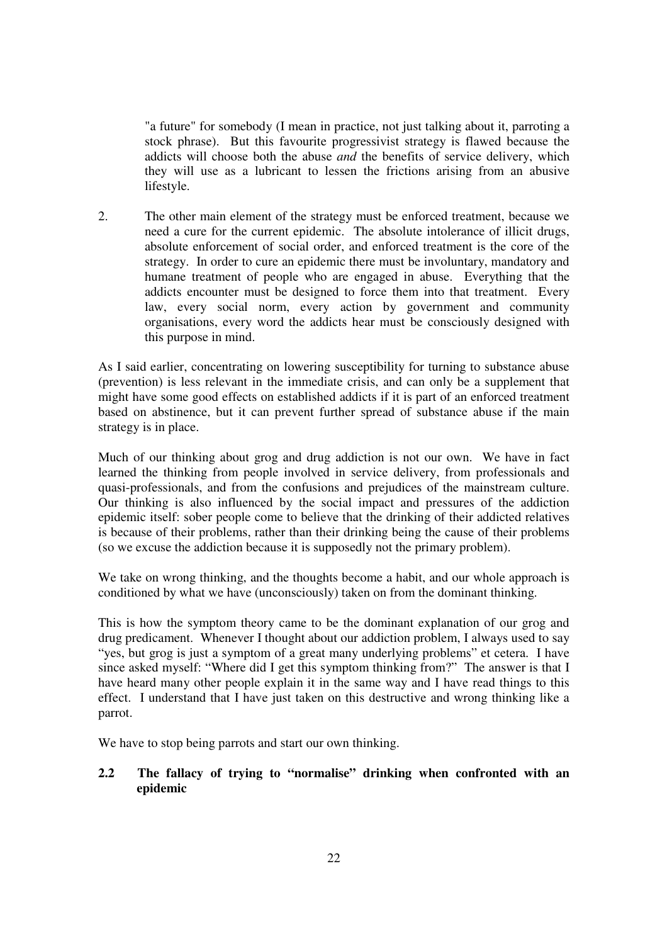"a future" for somebody (I mean in practice, not just talking about it, parroting a stock phrase). But this favourite progressivist strategy is flawed because the addicts will choose both the abuse *and* the benefits of service delivery, which they will use as a lubricant to lessen the frictions arising from an abusive lifestyle.

2. The other main element of the strategy must be enforced treatment, because we need a cure for the current epidemic. The absolute intolerance of illicit drugs, absolute enforcement of social order, and enforced treatment is the core of the strategy. In order to cure an epidemic there must be involuntary, mandatory and humane treatment of people who are engaged in abuse. Everything that the addicts encounter must be designed to force them into that treatment. Every law, every social norm, every action by government and community organisations, every word the addicts hear must be consciously designed with this purpose in mind.

As I said earlier, concentrating on lowering susceptibility for turning to substance abuse (prevention) is less relevant in the immediate crisis, and can only be a supplement that might have some good effects on established addicts if it is part of an enforced treatment based on abstinence, but it can prevent further spread of substance abuse if the main strategy is in place.

Much of our thinking about grog and drug addiction is not our own. We have in fact learned the thinking from people involved in service delivery, from professionals and quasi-professionals, and from the confusions and prejudices of the mainstream culture. Our thinking is also influenced by the social impact and pressures of the addiction epidemic itself: sober people come to believe that the drinking of their addicted relatives is because of their problems, rather than their drinking being the cause of their problems (so we excuse the addiction because it is supposedly not the primary problem).

We take on wrong thinking, and the thoughts become a habit, and our whole approach is conditioned by what we have (unconsciously) taken on from the dominant thinking.

This is how the symptom theory came to be the dominant explanation of our grog and drug predicament. Whenever I thought about our addiction problem, I always used to say "yes, but grog is just a symptom of a great many underlying problems" et cetera. I have since asked myself: "Where did I get this symptom thinking from?" The answer is that I have heard many other people explain it in the same way and I have read things to this effect. I understand that I have just taken on this destructive and wrong thinking like a parrot.

We have to stop being parrots and start our own thinking.

# **2.2 The fallacy of trying to "normalise" drinking when confronted with an epidemic**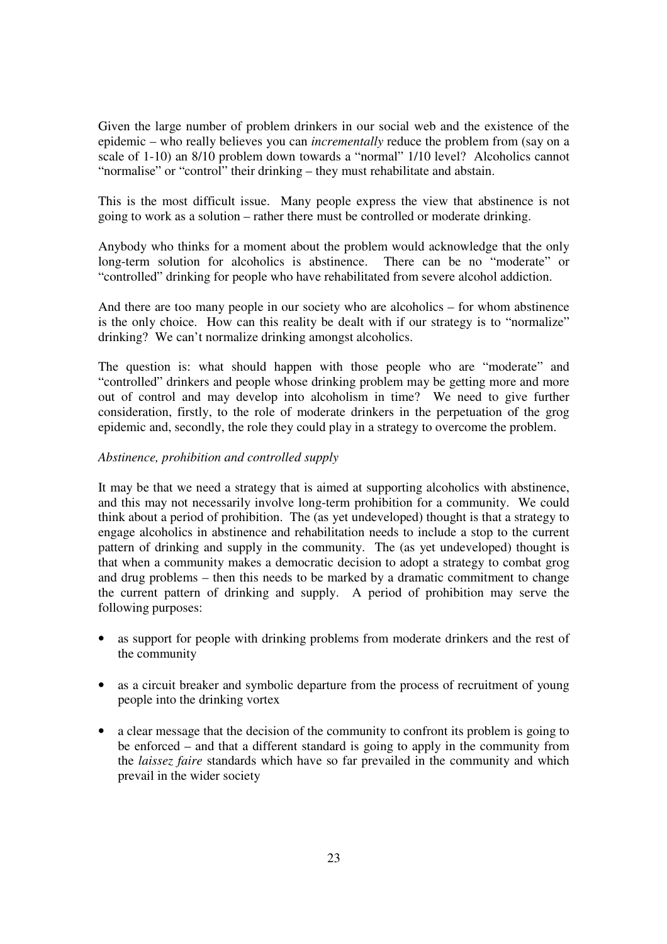Given the large number of problem drinkers in our social web and the existence of the epidemic – who really believes you can *incrementally* reduce the problem from (say on a scale of 1-10) an 8/10 problem down towards a "normal" 1/10 level? Alcoholics cannot "normalise" or "control" their drinking – they must rehabilitate and abstain.

This is the most difficult issue. Many people express the view that abstinence is not going to work as a solution – rather there must be controlled or moderate drinking.

Anybody who thinks for a moment about the problem would acknowledge that the only long-term solution for alcoholics is abstinence. There can be no "moderate" or "controlled" drinking for people who have rehabilitated from severe alcohol addiction.

And there are too many people in our society who are alcoholics – for whom abstinence is the only choice. How can this reality be dealt with if our strategy is to "normalize" drinking? We can't normalize drinking amongst alcoholics.

The question is: what should happen with those people who are "moderate" and "controlled" drinkers and people whose drinking problem may be getting more and more out of control and may develop into alcoholism in time? We need to give further consideration, firstly, to the role of moderate drinkers in the perpetuation of the grog epidemic and, secondly, the role they could play in a strategy to overcome the problem.

# *Abstinence, prohibition and controlled supply*

It may be that we need a strategy that is aimed at supporting alcoholics with abstinence, and this may not necessarily involve long-term prohibition for a community. We could think about a period of prohibition. The (as yet undeveloped) thought is that a strategy to engage alcoholics in abstinence and rehabilitation needs to include a stop to the current pattern of drinking and supply in the community. The (as yet undeveloped) thought is that when a community makes a democratic decision to adopt a strategy to combat grog and drug problems – then this needs to be marked by a dramatic commitment to change the current pattern of drinking and supply. A period of prohibition may serve the following purposes:

- as support for people with drinking problems from moderate drinkers and the rest of the community
- as a circuit breaker and symbolic departure from the process of recruitment of young people into the drinking vortex
- a clear message that the decision of the community to confront its problem is going to be enforced – and that a different standard is going to apply in the community from the *laissez faire* standards which have so far prevailed in the community and which prevail in the wider society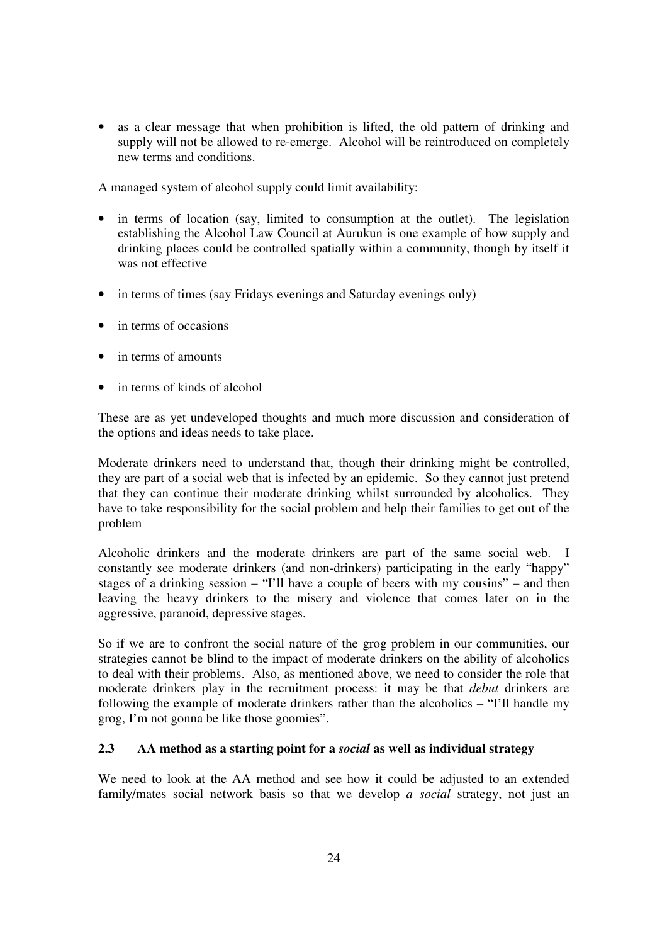• as a clear message that when prohibition is lifted, the old pattern of drinking and supply will not be allowed to re-emerge. Alcohol will be reintroduced on completely new terms and conditions.

A managed system of alcohol supply could limit availability:

- in terms of location (say, limited to consumption at the outlet). The legislation establishing the Alcohol Law Council at Aurukun is one example of how supply and drinking places could be controlled spatially within a community, though by itself it was not effective
- in terms of times (say Fridays evenings and Saturday evenings only)
- in terms of occasions
- in terms of amounts
- in terms of kinds of alcohol

These are as yet undeveloped thoughts and much more discussion and consideration of the options and ideas needs to take place.

Moderate drinkers need to understand that, though their drinking might be controlled, they are part of a social web that is infected by an epidemic. So they cannot just pretend that they can continue their moderate drinking whilst surrounded by alcoholics. They have to take responsibility for the social problem and help their families to get out of the problem

Alcoholic drinkers and the moderate drinkers are part of the same social web. I constantly see moderate drinkers (and non-drinkers) participating in the early "happy" stages of a drinking session – "I'll have a couple of beers with my cousins" – and then leaving the heavy drinkers to the misery and violence that comes later on in the aggressive, paranoid, depressive stages.

So if we are to confront the social nature of the grog problem in our communities, our strategies cannot be blind to the impact of moderate drinkers on the ability of alcoholics to deal with their problems. Also, as mentioned above, we need to consider the role that moderate drinkers play in the recruitment process: it may be that *debut* drinkers are following the example of moderate drinkers rather than the alcoholics – "I'll handle my grog, I'm not gonna be like those goomies".

# **2.3 AA method as a starting point for a** *social* **as well as individual strategy**

We need to look at the AA method and see how it could be adjusted to an extended family/mates social network basis so that we develop *a social* strategy, not just an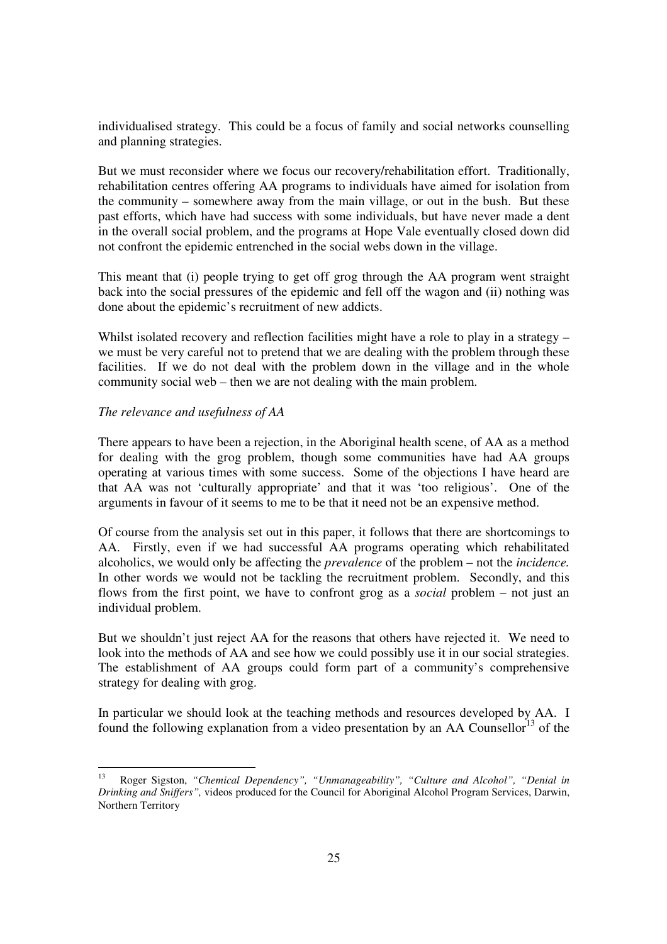individualised strategy. This could be a focus of family and social networks counselling and planning strategies.

But we must reconsider where we focus our recovery/rehabilitation effort. Traditionally, rehabilitation centres offering AA programs to individuals have aimed for isolation from the community – somewhere away from the main village, or out in the bush. But these past efforts, which have had success with some individuals, but have never made a dent in the overall social problem, and the programs at Hope Vale eventually closed down did not confront the epidemic entrenched in the social webs down in the village.

This meant that (i) people trying to get off grog through the AA program went straight back into the social pressures of the epidemic and fell off the wagon and (ii) nothing was done about the epidemic's recruitment of new addicts.

Whilst isolated recovery and reflection facilities might have a role to play in a strategy – we must be very careful not to pretend that we are dealing with the problem through these facilities. If we do not deal with the problem down in the village and in the whole community social web – then we are not dealing with the main problem.

# *The relevance and usefulness of AA*

There appears to have been a rejection, in the Aboriginal health scene, of AA as a method for dealing with the grog problem, though some communities have had AA groups operating at various times with some success. Some of the objections I have heard are that AA was not 'culturally appropriate' and that it was 'too religious'. One of the arguments in favour of it seems to me to be that it need not be an expensive method.

Of course from the analysis set out in this paper, it follows that there are shortcomings to AA. Firstly, even if we had successful AA programs operating which rehabilitated alcoholics, we would only be affecting the *prevalence* of the problem – not the *incidence.* In other words we would not be tackling the recruitment problem. Secondly, and this flows from the first point, we have to confront grog as a *social* problem – not just an individual problem.

But we shouldn't just reject AA for the reasons that others have rejected it. We need to look into the methods of AA and see how we could possibly use it in our social strategies. The establishment of AA groups could form part of a community's comprehensive strategy for dealing with grog.

In particular we should look at the teaching methods and resources developed by AA. I found the following explanation from a video presentation by an AA Counsellor<sup>13</sup> of the

 $13$ <sup>13</sup> Roger Sigston, *"Chemical Dependency", "Unmanageability", "Culture and Alcohol", "Denial in Drinking and Sniffers",* videos produced for the Council for Aboriginal Alcohol Program Services, Darwin, Northern Territory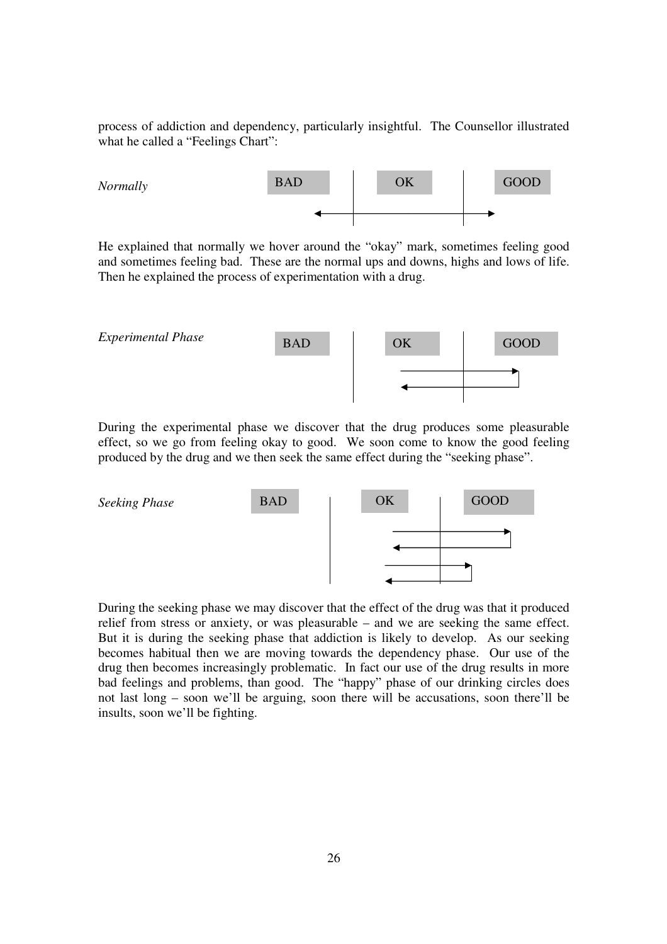process of addiction and dependency, particularly insightful. The Counsellor illustrated what he called a "Feelings Chart":



He explained that normally we hover around the "okay" mark, sometimes feeling good and sometimes feeling bad. These are the normal ups and downs, highs and lows of life. Then he explained the process of experimentation with a drug.



During the experimental phase we discover that the drug produces some pleasurable effect, so we go from feeling okay to good. We soon come to know the good feeling produced by the drug and we then seek the same effect during the "seeking phase".



During the seeking phase we may discover that the effect of the drug was that it produced relief from stress or anxiety, or was pleasurable – and we are seeking the same effect. But it is during the seeking phase that addiction is likely to develop. As our seeking becomes habitual then we are moving towards the dependency phase. Our use of the drug then becomes increasingly problematic. In fact our use of the drug results in more bad feelings and problems, than good. The "happy" phase of our drinking circles does not last long – soon we'll be arguing, soon there will be accusations, soon there'll be insults, soon we'll be fighting.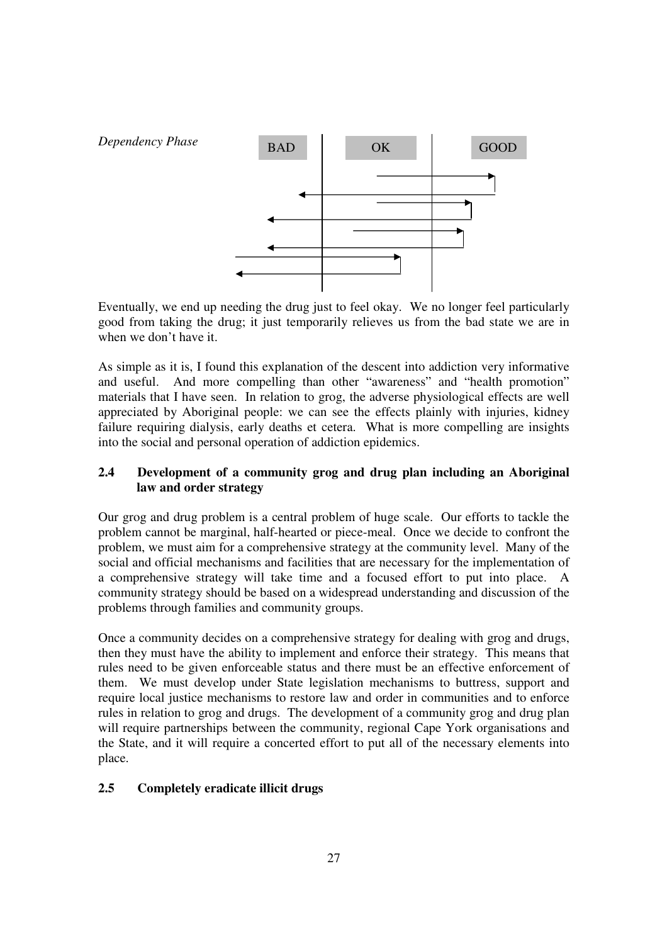

Eventually, we end up needing the drug just to feel okay. We no longer feel particularly good from taking the drug; it just temporarily relieves us from the bad state we are in when we don't have it.

As simple as it is, I found this explanation of the descent into addiction very informative and useful. And more compelling than other "awareness" and "health promotion" materials that I have seen. In relation to grog, the adverse physiological effects are well appreciated by Aboriginal people: we can see the effects plainly with injuries, kidney failure requiring dialysis, early deaths et cetera. What is more compelling are insights into the social and personal operation of addiction epidemics.

# **2.4 Development of a community grog and drug plan including an Aboriginal law and order strategy**

Our grog and drug problem is a central problem of huge scale. Our efforts to tackle the problem cannot be marginal, half-hearted or piece-meal. Once we decide to confront the problem, we must aim for a comprehensive strategy at the community level. Many of the social and official mechanisms and facilities that are necessary for the implementation of a comprehensive strategy will take time and a focused effort to put into place. A community strategy should be based on a widespread understanding and discussion of the problems through families and community groups.

Once a community decides on a comprehensive strategy for dealing with grog and drugs, then they must have the ability to implement and enforce their strategy. This means that rules need to be given enforceable status and there must be an effective enforcement of them. We must develop under State legislation mechanisms to buttress, support and require local justice mechanisms to restore law and order in communities and to enforce rules in relation to grog and drugs. The development of a community grog and drug plan will require partnerships between the community, regional Cape York organisations and the State, and it will require a concerted effort to put all of the necessary elements into place.

# **2.5 Completely eradicate illicit drugs**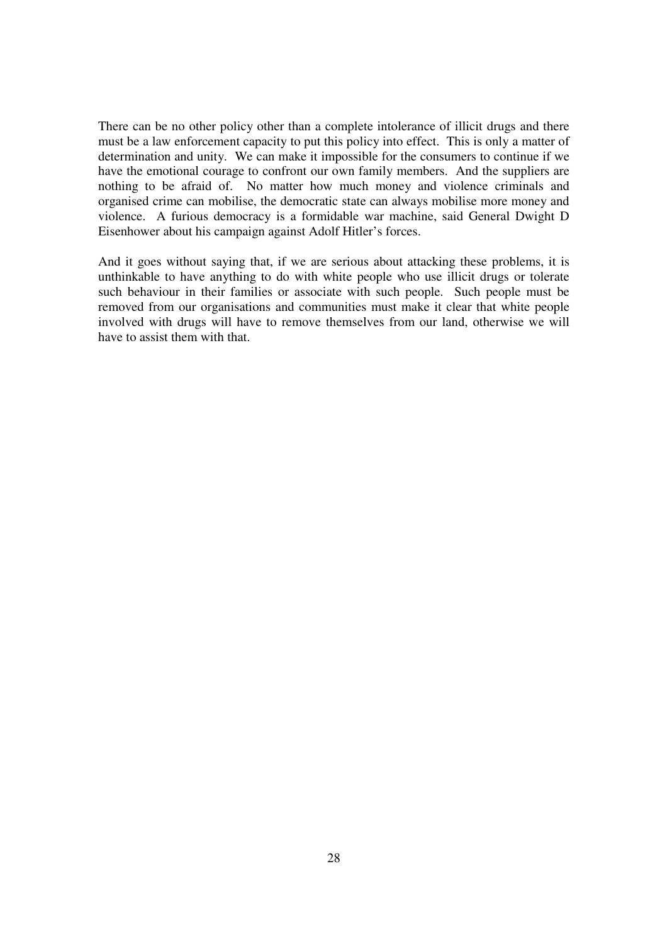There can be no other policy other than a complete intolerance of illicit drugs and there must be a law enforcement capacity to put this policy into effect. This is only a matter of determination and unity. We can make it impossible for the consumers to continue if we have the emotional courage to confront our own family members. And the suppliers are nothing to be afraid of. No matter how much money and violence criminals and organised crime can mobilise, the democratic state can always mobilise more money and violence. A furious democracy is a formidable war machine, said General Dwight D Eisenhower about his campaign against Adolf Hitler's forces.

And it goes without saying that, if we are serious about attacking these problems, it is unthinkable to have anything to do with white people who use illicit drugs or tolerate such behaviour in their families or associate with such people. Such people must be removed from our organisations and communities must make it clear that white people involved with drugs will have to remove themselves from our land, otherwise we will have to assist them with that.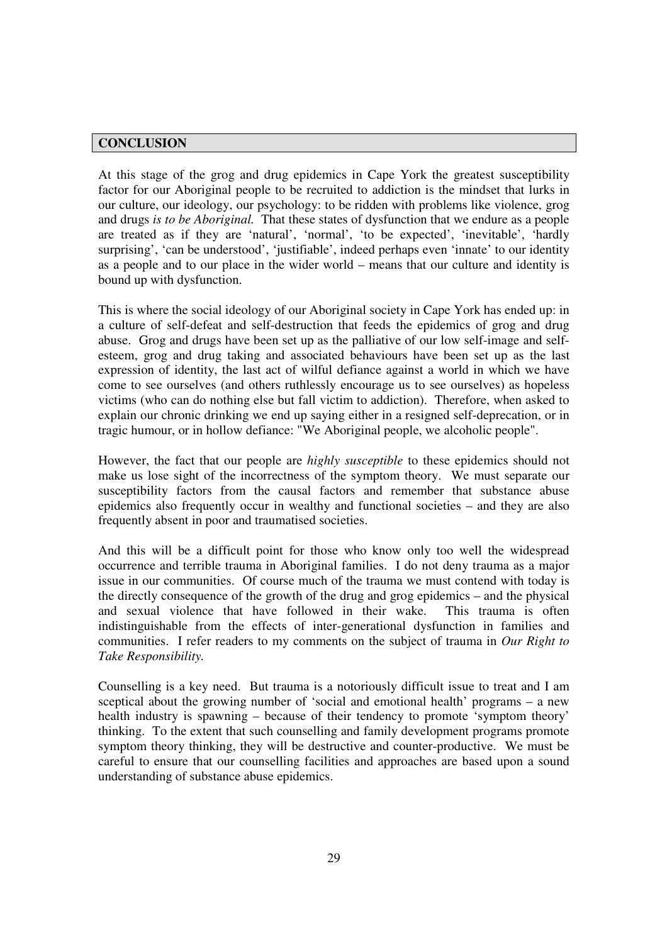### **CONCLUSION**

At this stage of the grog and drug epidemics in Cape York the greatest susceptibility factor for our Aboriginal people to be recruited to addiction is the mindset that lurks in our culture, our ideology, our psychology: to be ridden with problems like violence, grog and drugs *is to be Aboriginal.* That these states of dysfunction that we endure as a people are treated as if they are 'natural', 'normal', 'to be expected', 'inevitable', 'hardly surprising', 'can be understood', 'justifiable', indeed perhaps even 'innate' to our identity as a people and to our place in the wider world – means that our culture and identity is bound up with dysfunction.

This is where the social ideology of our Aboriginal society in Cape York has ended up: in a culture of self-defeat and self-destruction that feeds the epidemics of grog and drug abuse. Grog and drugs have been set up as the palliative of our low self-image and selfesteem, grog and drug taking and associated behaviours have been set up as the last expression of identity, the last act of wilful defiance against a world in which we have come to see ourselves (and others ruthlessly encourage us to see ourselves) as hopeless victims (who can do nothing else but fall victim to addiction). Therefore, when asked to explain our chronic drinking we end up saying either in a resigned self-deprecation, or in tragic humour, or in hollow defiance: "We Aboriginal people, we alcoholic people".

However, the fact that our people are *highly susceptible* to these epidemics should not make us lose sight of the incorrectness of the symptom theory. We must separate our susceptibility factors from the causal factors and remember that substance abuse epidemics also frequently occur in wealthy and functional societies – and they are also frequently absent in poor and traumatised societies.

And this will be a difficult point for those who know only too well the widespread occurrence and terrible trauma in Aboriginal families. I do not deny trauma as a major issue in our communities. Of course much of the trauma we must contend with today is the directly consequence of the growth of the drug and grog epidemics – and the physical and sexual violence that have followed in their wake. This trauma is often indistinguishable from the effects of inter-generational dysfunction in families and communities. I refer readers to my comments on the subject of trauma in *Our Right to Take Responsibility.* 

Counselling is a key need. But trauma is a notoriously difficult issue to treat and I am sceptical about the growing number of 'social and emotional health' programs – a new health industry is spawning – because of their tendency to promote 'symptom theory' thinking. To the extent that such counselling and family development programs promote symptom theory thinking, they will be destructive and counter-productive. We must be careful to ensure that our counselling facilities and approaches are based upon a sound understanding of substance abuse epidemics.